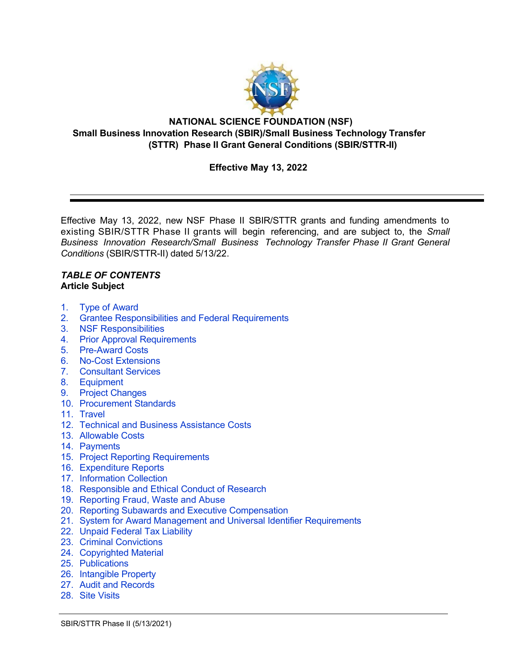

#### **NATIONAL SCIENCE FOUNDATION (NSF) Small Business Innovation Research (SBIR)/Small Business Technology Transfer (STTR) Phase II Grant General Conditions (SBIR/STTR-II)**

## **Effective May 13, 2022**

Effective May 13, 2022, new NSF Phase II SBIR/STTR grants and funding amendments to existing SBIR/STTR Phase II grants will begin referencing, and are subject to, the *Small Business Innovation Research/Small Business Technology Transfer Phase II Grant General Conditions* (SBIR/STTR-II) dated 5/13/22.

#### *TABLE OF CONTENTS* **Article Subject**

- 1. Type of [Award](#page-1-0)
- 2. [Grantee Responsibilities](#page-2-0) and Federal Requirements
- 3. [NSF Responsibilities](#page-2-1)
- 4. Prior Approval [Requirements](#page-3-0)
- 5. [Pre-Award](#page-3-1) Costs
- 6. No-Cost [Extensions](#page-4-0)
- 7. [Consultant](#page-4-1) Services
- 8. [Equipment](#page-4-2)
- 9. Project [Changes](#page-5-0)
- 10. [Procurement](#page-7-0) Standards
- 11. [Travel](#page-7-1)
- 12. [Technical and Business Assistance Costs](#page-7-2)
- 13. [Allowable Costs](#page-8-0)
- 14. [Payments](#page-8-1)
- 15. Project Reporting [Requirements](#page-9-0)
- 16. [Expenditure Reports](#page-11-0)
- 17. [Information Collection](#page-11-1)
- 18. Responsible [and Ethical Conduct of](#page-12-0) Research
- 19. [Reporting Fraud, Waste and Abuse](#page-12-1)
- 20. Reporting Subawards [and Executive Compensation](#page-13-0)
- 21. System for Award Management and Universal Identifier [Requirements](#page-16-0)
- 22. [Unpaid Federal](#page-17-0) Tax Liability
- 23. Criminal [Convictions](#page-17-1)
- 24. [Copyrighted Material](#page-17-2)
- 25. [Publications](#page-18-0)
- 26. [Intangible Property](#page-19-0)
- 27. Audit [and Records](#page-25-0)
- 28. Site [Visits](#page-25-1)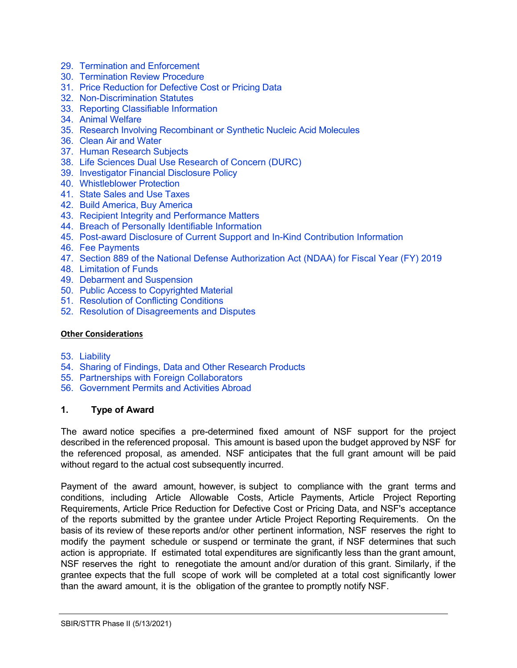- 29. [Termination and Enforcement](#page-25-2)
- 30. [Termination Review](#page-26-0) Procedure
- 31. Price [Reduction](#page-26-1) for Defective Cost or Pricing Data
- 32. [Non-Discrimination Statutes](#page-28-0)
- 33. [Reporting Classifiable Information](#page-28-1)
- 34. Animal [Welfare](#page-28-2)
- 35. [Research Involving Recombinant](#page-29-0) or Synthetic Nucleic Acid Molecules
- 36. Clean Air [and Water](#page-29-1)
- 37. Human [Research](#page-29-2) Subjects
- 38. [Life Sciences Dual Use Research of Concern \(DURC\)](#page-30-0)
- 39. [Investigator](#page-30-1) Financial Disclosure Policy
- 40. [Whistleblower](#page-30-2) Protection
- 41. [State Sales and Use Taxes](#page-30-3)
- 42. [Build America, Buy America](#page-30-4)
- 43. [Recipient Integrity](#page-31-0) and Performance Matters
- 44. [Breach of Personally Identifiable Information](#page-31-1)
- 45. [Post-award Disclosure of Current Support and In-Kind Contribution Information](#page-31-2)
- 46. [Fee Payments](#page-32-0)
- 47. [Section 889 of the National Defense Authorization Act \(NDAA\) for Fiscal Year \(FY\) 2019](#page-32-1)
- 48. [Limitation of Funds](#page-33-0)
- 49. Debarment [and Suspension](#page-33-1)
- 50. Public Access to [Copyrighted](#page-34-0) Material
- 51. [Resolution of](#page-34-1) Conflicting Conditions
- 52. [Resolution of Disagreements and Disputes](#page-34-2)

#### **Other Considerations**

- 53. [Liability](#page-35-0)
- 54. Sharing of Findings, Data and Other [Research](#page-35-1) Products
- 55. [Partnerships with Foreign Collaborators](#page-35-2)
- 56. Government [Permits and Activities Abroad](#page-35-3)

#### <span id="page-1-0"></span>**1. Type of Award**

The award notice specifies a pre-determined fixed amount of NSF support for the project described in the referenced proposal. This amount is based upon the budget approved by NSF for the referenced proposal, as amended. NSF anticipates that the full grant amount will be paid without regard to the actual cost subsequently incurred.

Payment of the award amount, however, is subject to compliance with the grant terms and conditions, including Article Allowable Costs, Article Payments, Article Project Reporting Requirements, Article Price Reduction for Defective Cost or Pricing Data, and NSF's acceptance of the reports submitted by the grantee under Article Project Reporting Requirements. On the basis of its review of these reports and/or other pertinent information, NSF reserves the right to modify the payment schedule or suspend or terminate the grant, if NSF determines that such action is appropriate. If estimated total expenditures are significantly less than the grant amount, NSF reserves the right to renegotiate the amount and/or duration of this grant. Similarly, if the grantee expects that the full scope of work will be completed at a total cost significantly lower than the award amount, it is the obligation of the grantee to promptly notify NSF.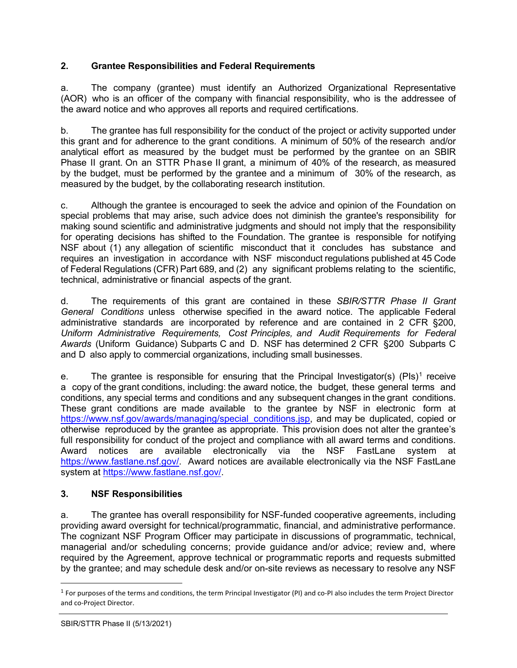## <span id="page-2-0"></span>**2. Grantee Responsibilities and Federal Requirements**

a. The company (grantee) must identify an Authorized Organizational Representative (AOR) who is an officer of the company with financial responsibility, who is the addressee of the award notice and who approves all reports and required certifications.

b. The grantee has full responsibility for the conduct of the project or activity supported under this grant and for adherence to the grant conditions. A minimum of 50% of the research and/or analytical effort as measured by the budget must be performed by the grantee on an SBIR Phase II grant. On an STTR Phase II grant, a minimum of 40% of the research, as measured by the budget, must be performed by the grantee and a minimum of 30% of the research, as measured by the budget, by the collaborating research institution.

c. Although the grantee is encouraged to seek the advice and opinion of the Foundation on special problems that may arise, such advice does not diminish the grantee's responsibility for making sound scientific and administrative judgments and should not imply that the responsibility for operating decisions has shifted to the Foundation. The grantee is responsible for notifying NSF about (1) any allegation of scientific misconduct that it concludes has substance and requires an investigation in accordance with NSF misconduct regulations published at 45 Code of Federal Regulations (CFR) Part 689, and (2) any significant problems relating to the scientific, technical, administrative or financial aspects of the grant.

d. The requirements of this grant are contained in these *SBIR/STTR Phase II Grant General Conditions* unless otherwise specified in the award notice. The applicable Federal administrative standards are incorporated by reference and are contained in [2 CFR §200,](http://www.ecfr.gov/cgi-bin/text-idx?SID=704835d27377ef5213a51c149de40cab&amp%3Bnode=2%3A1.1.2.2.1&amp%3Brgn=div5) *Uniform Administrative Requirements, Cost Principles, and Audit Requirements for Federal Awards* (Uniform Guidance) Subparts C and D. NSF has determined 2 CFR §200 Subparts C and D also apply to commercial organizations, including small businesses.

e. The grantee is responsible for ensuring that the Principal Investigator(s)  $(PIs)^1$  $(PIs)^1$  receive a copy of the grant conditions, including: the award notice, the budget, these general terms and conditions, any special terms and conditions and any subsequent changes in the grant conditions. These grant conditions are made available to the grantee by NSF in electronic form at [https://www.nsf.gov/awards/managing/special\\_conditions.jsp,](https://www.nsf.gov/awards/managing/special_conditions.jsp) and may be duplicated, copied or otherwise reproduced by the grantee as appropriate. This provision does not alter the grantee's full responsibility for conduct of the project and compliance with all award terms and conditions. Award notices are available electronically via the NSF FastLane system at [https://www.fastlane.nsf.gov/.](https://www.fastlane.nsf.gov/) Award notices are available electronically via the NSF FastLane system at [https://www.fastlane.nsf.gov/.](https://www.fastlane.nsf.gov/)

# <span id="page-2-1"></span>**3. NSF Responsibilities**

a. The grantee has overall responsibility for NSF-funded cooperative agreements, including providing award oversight for technical/programmatic, financial, and administrative performance. The cognizant NSF Program Officer may participate in discussions of programmatic, technical, managerial and/or scheduling concerns; provide guidance and/or advice; review and, where required by the Agreement, approve technical or programmatic reports and requests submitted by the grantee; and may schedule desk and/or on-site reviews as necessary to resolve any NSF

<span id="page-2-2"></span> $1$  For purposes of the terms and conditions, the term Principal Investigator (PI) and co-PI also includes the term Project Director and co-Project Director.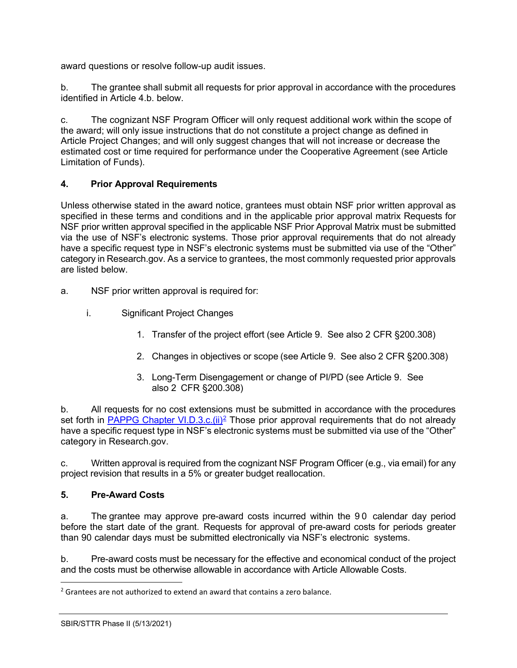award questions or resolve follow-up audit issues.

b. The grantee shall submit all requests for prior approval in accordance with the procedures identified in Article 4.b. below.

c. The cognizant NSF Program Officer will only request additional work within the scope of the award; will only issue instructions that do not constitute a project change as defined in Article Project Changes; and will only suggest changes that will not increase or decrease the estimated cost or time required for performance under the Cooperative Agreement (see Article Limitation of Funds).

## <span id="page-3-0"></span>**4. Prior Approval Requirements**

Unless otherwise stated in the award notice, grantees must obtain NSF prior written approval as specified in these terms and conditions and in the applicable prior approval matrix Requests for NSF prior written approval specified in the applicable NSF Prior Approval Matrix must be submitted via the use of NSF's electronic systems. Those prior approval requirements that do not already have a specific request type in NSF's electronic systems must be submitted via use of the "Other" category in Research.gov. As a service to grantees, the most commonly requested prior approvals are listed below.

- a. NSF prior written approval is required for:
	- i. Significant Project Changes
		- 1. Transfer of the project effort (see Article 9. See also 2 CFR §200.308)
		- 2. Changes in objectives or scope (see Article 9. See also 2 CFR §200.308)
		- 3. Long-Term Disengagement or change of PI/PD (see Article 9. See also 2 CFR §200.308)

b. All requests for no cost extensions must be submitted in accordance with the procedures set forth in PAPPG Chapter VI.D.3.c.(ii)<sup>2</sup> Those prior approval requirements that do not already have a specific request type in NSF's electronic systems must be submitted via use of the "Other" category in Research.gov.

c. Written approval is required from the cognizant NSF Program Officer (e.g., via email) for any project revision that results in a 5% or greater budget reallocation.

## <span id="page-3-1"></span>**5. Pre-Award Costs**

a. The grantee may approve pre-award costs incurred within the 90 calendar day period before the start date of the grant. Requests for approval of pre-award costs for periods greater than 90 calendar days must be submitted electronically via NSF's electronic systems.

b. Pre-award costs must be necessary for the effective and economical conduct of the project and the costs must be otherwise allowable in accordance with Article Allowable Costs.

<span id="page-3-2"></span> $2$  Grantees are not authorized to extend an award that contains a zero balance.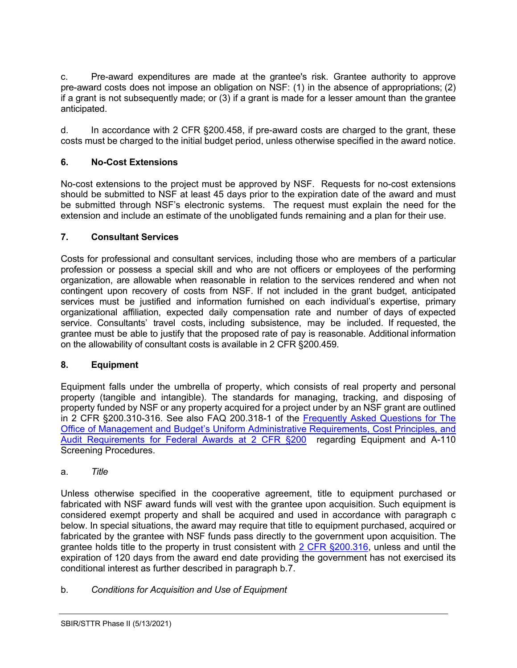c. Pre-award expenditures are made at the grantee's risk. Grantee authority to approve pre-award costs does not impose an obligation on NSF: (1) in the absence of appropriations; (2) if a grant is not subsequently made; or (3) if a grant is made for a lesser amount than the grantee anticipated.

d. In accordance with 2 CFR §200.458, if pre-award costs are charged to the grant, these costs must be charged to the initial budget period, unless otherwise specified in the award notice.

# <span id="page-4-0"></span>**6. No-Cost Extensions**

No-cost extensions to the project must be approved by NSF. Requests for no-cost extensions should be submitted to NSF at least 45 days prior to the expiration date of the award and must be submitted through NSF's electronic systems. The request must explain the need for the extension and include an estimate of the unobligated funds remaining and a plan for their use.

## <span id="page-4-1"></span>**7. Consultant Services**

Costs for professional and consultant services, including those who are members of a particular profession or possess a special skill and who are not officers or employees of the performing organization, are allowable when reasonable in relation to the services rendered and when not contingent upon recovery of costs from NSF. If not included in the grant budget, anticipated services must be justified and information furnished on each individual's expertise, primary organizational affiliation, expected daily compensation rate and number of days of expected service. Consultants' travel costs, including subsistence, may be included. If requested, the grantee must be able to justify that the proposed rate of pay is reasonable. Additional information on the allowability of consultant costs is available in 2 CFR §200.459.

## <span id="page-4-2"></span>**8. Equipment**

Equipment falls under the umbrella of property, which consists of real property and personal property (tangible and intangible). The standards for managing, tracking, and disposing of property funded by NSF or any property acquired for a project under by an NSF grant are outlined in 2 CFR §200.310-316. See also FAQ 200.318-1 of the [Frequently Asked Questions for The](https://www.cfo.gov/assets/files/2CFR-FrequentlyAskedQuestions_2021050321.pdf)  [Office of Management and Budget's Uniform Administrative Requirements, Cost Principles, and](https://www.cfo.gov/assets/files/2CFR-FrequentlyAskedQuestions_2021050321.pdf)  [Audit Requirements for Federal Awards](https://www.cfo.gov/assets/files/2CFR-FrequentlyAskedQuestions_2021050321.pdf) at 2 CFR §200 regarding Equipment and A-110 Screening Procedures.

a. *Title*

Unless otherwise specified in the cooperative agreement, title to equipment purchased or fabricated with NSF award funds will vest with the grantee upon acquisition. Such equipment is considered exempt property and shall be acquired and used in accordance with paragraph c below. In special situations, the award may require that title to equipment purchased, acquired or fabricated by the grantee with NSF funds pass directly to the government upon acquisition. The grantee holds title to the property in trust consistent with [2 CFR §200.316,](http://a257.g.akamaitech.net/7/257/2422/15mar20071500/edocket.access.gpo.gov/cfr_2007/janqtr/pdf/2cfr215.34.pdf) unless and until the expiration of 120 days from the award end date providing the government has not exercised its conditional interest as further described in paragraph b.7.

b. *Conditions for Acquisition and Use of Equipment*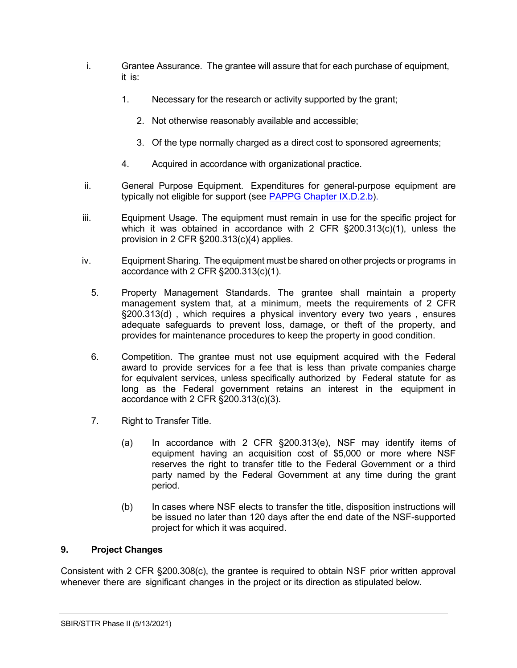- i. Grantee Assurance. The grantee will assure that for each purchase of equipment, it is:
	- 1. Necessary for the research or activity supported by the grant;
		- 2. Not otherwise reasonably available and accessible;
		- 3. Of the type normally charged as a direct cost to sponsored agreements;
	- 4. Acquired in accordance with organizational practice.
- ii. General Purpose Equipment. Expenditures for general-purpose equipment are typically not eligible for support (see [PAPPG Chapter IX.D.2.b\).](https://www.nsf.gov/pubs/policydocs/pappg22_1/pappg_9.jsp#IXD2)
- iii. Equipment Usage. The equipment must remain in use for the specific project for which it was obtained in accordance with 2 CFR §200.313(c)(1), unless the provision in 2 CFR §200.313(c)(4) applies.
- iv. Equipment Sharing. The equipment must be shared on other projects or programs in accordance with 2 CFR §200.313(c)(1).
	- 5. Property Management Standards. The grantee shall maintain a property management system that, at a minimum, meets the requirements of 2 CFR §200.313(d) , which requires a physical inventory every two years , ensures adequate safequards to prevent loss, damage, or theft of the property, and provides for maintenance procedures to keep the property in good condition.
	- 6. Competition. The grantee must not use equipment acquired with the Federal award to provide services for a fee that is less than private companies charge for equivalent services, unless specifically authorized by Federal statute for as long as the Federal government retains an interest in the equipment in accordance with 2 CFR §200.313(c)(3).
	- 7. Right to Transfer Title.
		- (a) In accordance with 2 CFR §200.313(e), NSF may identify items of equipment having an acquisition cost of \$5,000 or more where NSF reserves the right to transfer title to the Federal Government or a third party named by the Federal Government at any time during the grant period.
		- (b) In cases where NSF elects to transfer the title, disposition instructions will be issued no later than 120 days after the end date of the NSF-supported project for which it was acquired.

## <span id="page-5-0"></span>**9. Project Changes**

Consistent with 2 CFR §200.308(c), the grantee is required to obtain NSF prior written approval whenever there are significant changes in the project or its direction as stipulated below.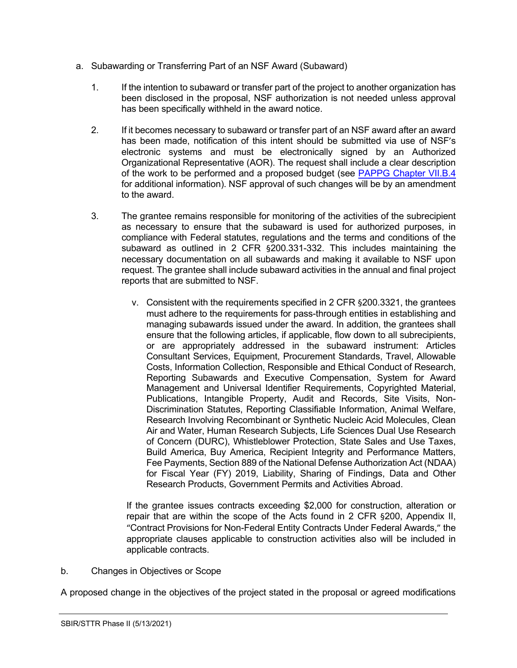- a. Subawarding or Transferring Part of an NSF Award (Subaward)
	- 1. If the intention to subaward or transfer part of the project to another organization has been disclosed in the proposal, NSF authorization is not needed unless approval has been specifically withheld in the award notice.
	- 2. If it becomes necessary to subaward or transfer part of an NSF award after an award has been made, notification of this intent should be submitted via use of NSF's electronic systems and must be electronically signed by an Authorized Organizational Representative (AOR). The request shall include a clear description of the work to be performed and a proposed budget (see [PAPPG Chapter VII.B.4](https://www.nsf.gov/pubs/policydocs/pappg22_1/pappg_7.jsp#VIIB4) for additional information). NSF approval of such changes will be by an amendment to the award.
	- 3. The grantee remains responsible for monitoring of the activities of the subrecipient as necessary to ensure that the subaward is used for authorized purposes, in compliance with Federal statutes, regulations and the terms and conditions of the subaward as outlined in 2 CFR §200.331-332. This includes maintaining the necessary documentation on all subawards and making it available to NSF upon request. The grantee shall include subaward activities in the annual and final project reports that are submitted to NSF.
		- v. Consistent with the requirements specified in 2 CFR §200.3321, the grantees must adhere to the requirements for pass-through entities in establishing and managing subawards issued under the award. In addition, the grantees shall ensure that the following articles, if applicable, flow down to all subrecipients, or are appropriately addressed in the subaward instrument: Articles Consultant Services, Equipment, Procurement Standards, Travel, Allowable Costs, Information Collection, Responsible and Ethical Conduct of Research, Reporting Subawards and Executive Compensation, System for Award Management and Universal Identifier Requirements, Copyrighted Material, Publications, Intangible Property, Audit and Records, Site Visits, Non-Discrimination Statutes, Reporting Classifiable Information, Animal Welfare, Research Involving Recombinant or Synthetic Nucleic Acid Molecules, Clean Air and Water, Human Research Subjects, Life Sciences Dual Use Research of Concern (DURC), Whistleblower Protection, State Sales and Use Taxes, Build America, Buy America, Recipient Integrity and Performance Matters, Fee Payments, Section 889 of the National Defense Authorization Act (NDAA) for Fiscal Year (FY) 2019, Liability, Sharing of Findings, Data and Other Research Products, Government Permits and Activities Abroad.

If the grantee issues contracts exceeding \$2,000 for construction, alteration or repair that are within the scope of the Acts found in 2 CFR §200, Appendix II, "Contract Provisions for Non-Federal Entity Contracts Under Federal Awards," the appropriate clauses applicable to construction activities also will be included in applicable contracts.

b. Changes in Objectives or Scope

A proposed change in the objectives of the project stated in the proposal or agreed modifications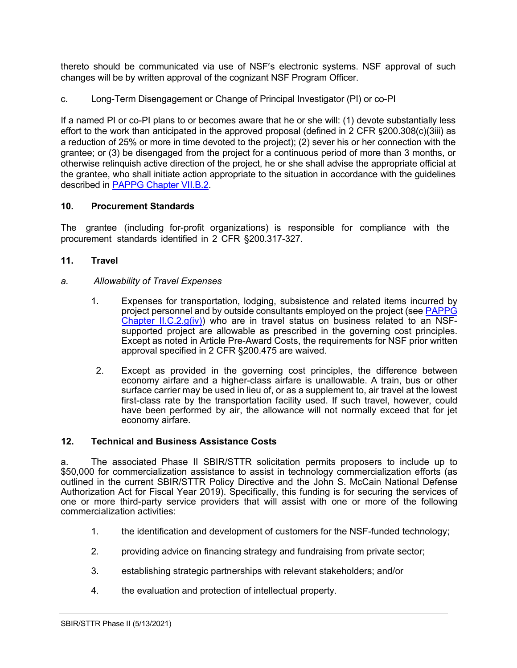thereto should be communicated via use of NSF's electronic systems. NSF approval of such changes will be by written approval of the cognizant NSF Program Officer.

c. Long-Term Disengagement or Change of Principal Investigator (PI) or co-PI

If a named PI or co-PI plans to or becomes aware that he or she will: (1) devote substantially less effort to the work than anticipated in the approved proposal (defined in 2 CFR §200.308(c)(3iii) as a reduction of 25% or more in time devoted to the project); (2) sever his or her connection with the grantee; or (3) be disengaged from the project for a continuous period of more than 3 months, or otherwise relinquish active direction of the project, he or she shall advise the appropriate official at the grantee, who shall initiate action appropriate to the situation in accordance with the guidelines described in [PAPPG Chapter VII.B.2.](https://www.nsf.gov/pubs/policydocs/pappg22_1/pappg_7.jsp#VIIB2)

## <span id="page-7-0"></span>**10. Procurement Standards**

The grantee (including for-profit organizations) is responsible for compliance with the procurement standards identified in [2 CFR §200.31](http://www.access.gpo.gov/nara/cfr/waisidx_07/2cfr215_07.html)7-327.

## <span id="page-7-1"></span>**11. Travel**

## *a. Allowability of Travel Expenses*

- 1. Expenses for transportation, lodging, subsistence and related items incurred by project personnel and by outside consultants employed on the project (see PAPPG [Chapter II.C.2.g\(iv\)\)](https://www.nsf.gov/pubs/policydocs/pappg22_1/pappg_2.jsp#IIC2giv) who are in travel status on business related to an NSFsupported project are allowable as prescribed in the governing cost principles. Except as noted in Article Pre-Award Costs, the requirements for NSF prior written approval specified in 2 CFR §200.475 are waived.
- 2. Except as provided in the governing cost principles, the difference between economy airfare and a higher-class airfare is unallowable. A train, bus or other surface carrier may be used in lieu of, or as a supplement to, air travel at the lowest first-class rate by the transportation facility used. If such travel, however, could have been performed by air, the allowance will not normally exceed that for jet economy airfare.

## <span id="page-7-2"></span>**12. Technical and Business Assistance Costs**

a. The associated Phase II SBIR/STTR solicitation permits proposers to include up to \$50,000 for commercialization assistance to assist in technology commercialization efforts (as outlined in the current SBIR/STTR Policy Directive and the John S. McCain National Defense Authorization Act for Fiscal Year 2019). Specifically, this funding is for securing the services of one or more third-party service providers that will assist with one or more of the following commercialization activities:

- 1. the identification and development of customers for the NSF-funded technology;
- 2. providing advice on financing strategy and fundraising from private sector;
- 3. establishing strategic partnerships with relevant stakeholders; and/or
- 4. the evaluation and protection of intellectual property.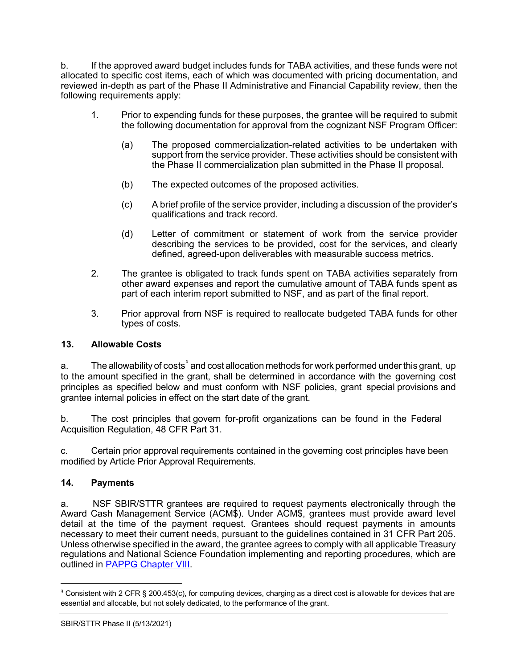b. If the approved award budget includes funds for TABA activities, and these funds were not allocated to specific cost items, each of which was documented with pricing documentation, and reviewed in-depth as part of the Phase II Administrative and Financial Capability review, then the following requirements apply:

- 1. Prior to expending funds for these purposes, the grantee will be required to submit the following documentation for approval from the cognizant NSF Program Officer:
	- (a) The proposed commercialization-related activities to be undertaken with support from the service provider. These activities should be consistent with the Phase II commercialization plan submitted in the Phase II proposal.
	- (b) The expected outcomes of the proposed activities.
	- (c) A brief profile of the service provider, including a discussion of the provider's qualifications and track record.
	- (d) Letter of commitment or statement of work from the service provider describing the services to be provided, cost for the services, and clearly defined, agreed-upon deliverables with measurable success metrics.
- 2. The grantee is obligated to track funds spent on TABA activities separately from other award expenses and report the cumulative amount of TABA funds spent as part of each interim report submitted to NSF, and as part of the final report.
- 3. Prior approval from NSF is required to reallocate budgeted TABA funds for other types of costs.

#### <span id="page-8-0"></span>**13. Allowable Costs**

a.  $\hskip1cm$  The allowability of costs $^{\textdegree}$  and cost allocation methods for work performed under this grant, <code>up</code> to the amount specified in the grant, shall be determined in accordance with the governing cost principles as specified below and must conform with NSF policies, grant special provisions and grantee internal policies in effect on the start date of the grant.

b. The cost principles that govern for-profit organizations can be found in the Federal Acquisition Regulation, 48 CFR Part 31.

c. Certain prior approval requirements contained in the governing cost principles have been modified by Article Prior Approval Requirements.

#### <span id="page-8-1"></span>**14. Payments**

a. NSF SBIR/STTR grantees are required to request payments electronically through the Award Cash Management Service (ACM\$). Under ACM\$, grantees must provide award level detail at the time of the payment request. Grantees should request payments in amounts necessary to meet their current needs, pursuant to the guidelines contained in 31 CFR Part 205. Unless otherwise specified in the award, the grantee agrees to comply with all applicable Treasury regulations and National Science Foundation implementing and reporting procedures, which are outlined in [PAPPG Chapter VIII.](https://www.nsf.gov/pubs/policydocs/pappg22_1/pappg_8.jsp)

<span id="page-8-2"></span><sup>&</sup>lt;sup>3</sup> Consistent with 2 CFR § 200.453(c), for computing devices, charging as a direct cost is allowable for devices that are essential and allocable, but not solely dedicated, to the performance of the grant.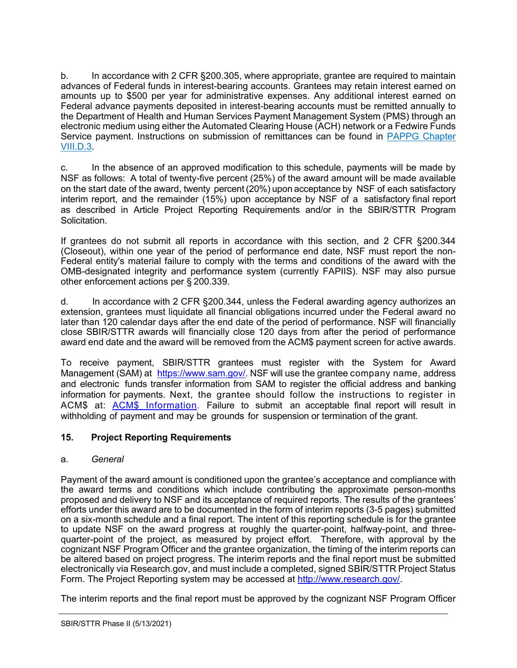b. In accordance with 2 CFR §200.305, where appropriate, grantee are required to maintain advances of Federal funds in interest-bearing accounts. Grantees may retain interest earned on amounts up to \$500 per year for administrative expenses. Any additional interest earned on Federal advance payments deposited in interest-bearing accounts must be remitted annually to the Department of Health and Human Services Payment Management System (PMS) through an electronic medium using either the Automated Clearing House (ACH) network or a Fedwire Funds Service payment. Instructions on submission of remittances can be found in [PAPPG Chapter](https://www.nsf.gov/pubs/policydocs/pappg22_1/pappg_8.jsp#VIIID3)  [VIII.D.3.](https://www.nsf.gov/pubs/policydocs/pappg22_1/pappg_8.jsp#VIIID3)

c. In the absence of an approved modification to this schedule, payments will be made by NSF as follows: A total of twenty-five percent (25%) of the award amount will be made available on the start date of the award, twenty percent (20%) upon acceptance by NSF of each satisfactory interim report, and the remainder (15%) upon acceptance by NSF of a satisfactory final report as described in Article Project Reporting Requirements and/or in the SBIR/STTR Program Solicitation.

If grantees do not submit all reports in accordance with this section, and 2 CFR §200.344 (Closeout), within one year of the period of performance end date, NSF must report the non-Federal entity's material failure to comply with the terms and conditions of the award with the OMB-designated integrity and performance system (currently FAPIIS). NSF may also pursue other enforcement actions per § 200.339.

d. In accordance with 2 CFR §200.344, unless the Federal awarding agency authorizes an extension, grantees must liquidate all financial obligations incurred under the Federal award no later than 120 calendar days after the end date of the period of performance. NSF will financially close SBIR/STTR awards will financially close 120 days from after the period of performance award end date and the award will be removed from the ACM\$ payment screen for active awards.

To receive payment, SBIR/STTR grantees must register with the System for Award Management (SAM) at [https://www.sam.gov/.](https://www.sam.gov/) NSF will use the grantee company name, address and electronic funds transfer information from SAM to register the official address and banking information for payments. Next, the grantee should follow the instructions to register in ACM\$ at: ACM\$ [Information.](https://www.research.gov/research-portal/appmanager/base/desktop?_nfpb=true&_pageLabel=research_node_display&_nodePath=/researchGov/Service/Desktop/InstitutionAndUserManagement.html) Failure to submit an acceptable final report will result in withholding of payment and may be grounds for suspension or termination of the grant.

# <span id="page-9-0"></span>**15. Project Reporting Requirements**

## a. *General*

Payment of the award amount is conditioned upon the grantee's acceptance and compliance with the award terms and conditions which include contributing the approximate person-months proposed and delivery to NSF and its acceptance of required reports. The results of the grantees' efforts under this award are to be documented in the form of interim reports (3-5 pages) submitted on a six-month schedule and a final report. The intent of this reporting schedule is for the grantee to update NSF on the award progress at roughly the quarter-point, halfway-point, and threequarter-point of the project, as measured by project effort. Therefore, with approval by the cognizant NSF Program Officer and the grantee organization, the timing of the interim reports can be altered based on project progress. The interim reports and the final report must be submitted electronically via Research.gov, and must include a completed, signed SBIR/STTR Project Status Form. The Project Reporting system may be accessed at [http://www.research.gov/.](http://www.research.gov/)

The interim reports and the final report must be approved by the cognizant NSF Program Officer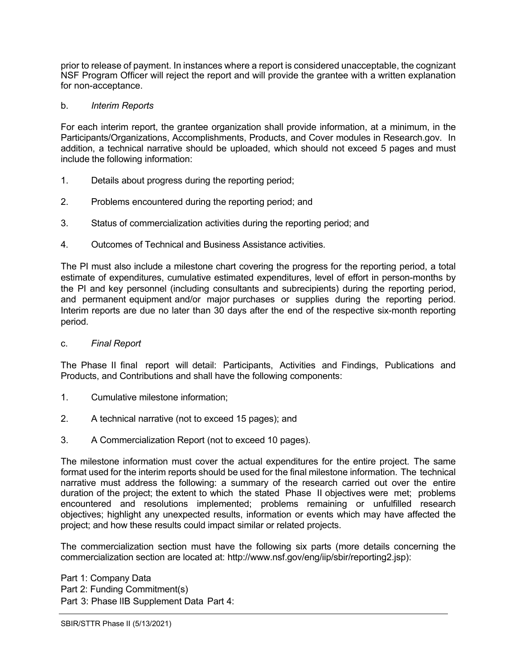prior to release of payment. In instances where a report is considered unacceptable, the cognizant NSF Program Officer will reject the report and will provide the grantee with a written explanation for non-acceptance.

#### b. *Interim Reports*

For each interim report, the grantee organization shall provide information, at a minimum, in the Participants/Organizations, Accomplishments, Products, and Cover modules in Research.gov. In addition, a technical narrative should be uploaded, which should not exceed 5 pages and must include the following information:

- 1. Details about progress during the reporting period;
- 2. Problems encountered during the reporting period; and
- 3. Status of commercialization activities during the reporting period; and
- 4. Outcomes of Technical and Business Assistance activities.

The PI must also include a milestone chart covering the progress for the reporting period, a total estimate of expenditures, cumulative estimated expenditures, level of effort in person-months by the PI and key personnel (including consultants and subrecipients) during the reporting period, and permanent equipment and/or major purchases or supplies during the reporting period. Interim reports are due no later than 30 days after the end of the respective six-month reporting period.

c. *Final Report*

The Phase II final report will detail: Participants, Activities and Findings, Publications and Products, and Contributions and shall have the following components:

- 1. Cumulative milestone information;
- 2. A technical narrative (not to exceed 15 pages); and
- 3. A Commercialization Report (not to exceed 10 pages).

The milestone information must cover the actual expenditures for the entire project. The same format used for the interim reports should be used for the final milestone information. The technical narrative must address the following: a summary of the research carried out over the entire duration of the project; the extent to which the stated Phase II objectives were met; problems encountered and resolutions implemented; problems remaining or unfulfilled research objectives; highlight any unexpected results, information or events which may have affected the project; and how these results could impact similar or related projects.

The commercialization section must have the following six parts (more details concerning the commercialization section are located at: [http://www.nsf.gov/eng/iip/sbir/reporting2.jsp\):](http://www.nsf.gov/eng/iip/sbir/reporting2.jsp)

Part 1: Company Data Part 2: Funding Commitment(s) Part 3: Phase lIB Supplement Data Part 4: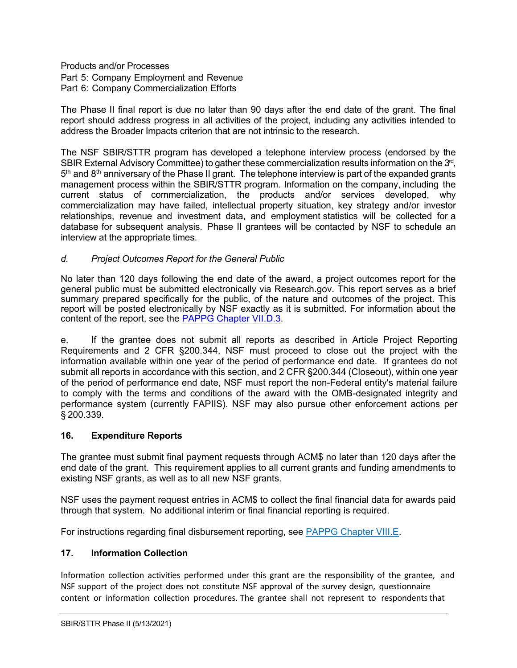Products and/or Processes Part 5: Company Employment and Revenue Part 6: Company Commercialization Efforts

The Phase II final report is due no later than 90 days after the end date of the grant. The final report should address progress in all activities of the project, including any activities intended to address the Broader Impacts criterion that are not intrinsic to the research.

The NSF SBIR/STTR program has developed a telephone interview process (endorsed by the SBIR External Advisory Committee) to gather these commercialization results information on the 3<sup>rd</sup>,  $5<sup>th</sup>$  and  $8<sup>th</sup>$  anniversary of the Phase II grant. The telephone interview is part of the expanded grants management process within the SBIR/STTR program. Information on the company, including the current status of commercialization, the products and/or services developed, why commercialization may have failed, intellectual property situation, key strategy and/or investor relationships, revenue and investment data, and employment statistics will be collected for a database for subsequent analysis. Phase II grantees will be contacted by NSF to schedule an interview at the appropriate times.

## *d. Project Outcomes Report for the General Public*

No later than 120 days following the end date of the award, a project outcomes report for the general public must be submitted electronically via Research.gov. This report serves as a brief summary prepared specifically for the public, of the nature and outcomes of the project. This report will be posted electronically by NSF exactly as it is submitted. For information about the content of the report, see the **PAPPG Chapter VII.D.3**.

e. If the grantee does not submit all reports as described in Article Project Reporting Requirements and 2 CFR §200.344, NSF must proceed to close out the project with the information available within one year of the period of performance end date. If grantees do not submit all reports in accordance with this section, and 2 CFR §200.344 (Closeout), within one year of the period of performance end date, NSF must report the non-Federal entity's material failure to comply with the terms and conditions of the award with the OMB-designated integrity and performance system (currently FAPIIS). NSF may also pursue other enforcement actions per § 200.339.

## <span id="page-11-0"></span>**16. Expenditure Reports**

The grantee must submit final payment requests through ACM\$ no later than 120 days after the end date of the grant. This requirement applies to all current grants and funding amendments to existing NSF grants, as well as to all new NSF grants.

NSF uses the payment request entries in ACM\$ to collect the final financial data for awards paid through that system. No additional interim or final financial reporting is required.

For instructions regarding final disbursement reporting, see [PAPPG Chapter VIII.E.](https://nsf.gov/pubs/policydocs/pappg22_1/pappg_8.jsp#VIIIE) 

## <span id="page-11-1"></span>**17. Information Collection**

Information collection activities performed under this grant are the responsibility of the grantee, and NSF support of the project does not constitute NSF approval of the survey design, questionnaire content or information collection procedures. The grantee shall not represent to respondents that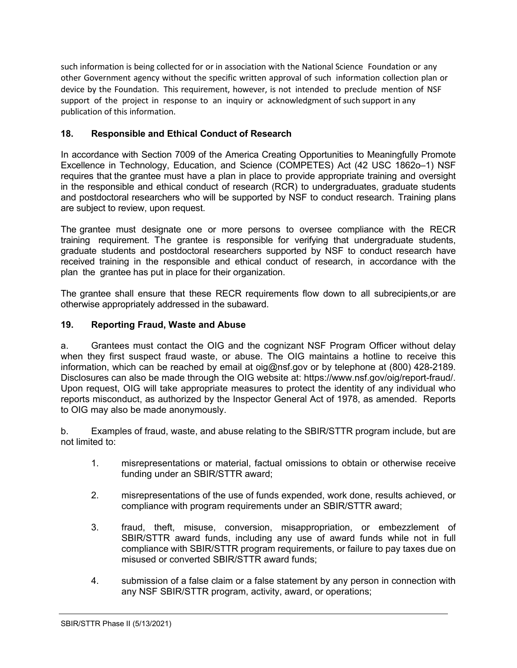such information is being collected for or in association with the National Science Foundation or any other Government agency without the specific written approval of such information collection plan or device by the Foundation. This requirement, however, is not intended to preclude mention of NSF support of the project in response to an inquiry or acknowledgment of such support in any publication of this information.

## <span id="page-12-0"></span>**18. Responsible and Ethical Conduct of Research**

In accordance with Section 7009 of the America Creating Opportunities to Meaningfully Promote Excellence in Technology, Education, and Science (COMPETES) Act (42 USC 1862o–1) NSF requires that the grantee must have a plan in place to provide appropriate training and oversight in the responsible and ethical conduct of research (RCR) to undergraduates, graduate students and postdoctoral researchers who will be supported by NSF to conduct research. Training plans are subject to review, upon request.

The grantee must designate one or more persons to oversee compliance with the RECR training requirement. The grantee is responsible for verifying that undergraduate students, graduate students and postdoctoral researchers supported by NSF to conduct research have received training in the responsible and ethical conduct of research, in accordance with the plan the grantee has put in place for their organization.

The grantee shall ensure that these RECR requirements flow down to all subrecipients,or are otherwise appropriately addressed in the subaward.

## <span id="page-12-1"></span>**19. Reporting Fraud, Waste and Abuse**

a. Grantees must contact the OIG and the cognizant NSF Program Officer without delay when they first suspect fraud waste, or abuse. The OIG maintains a hotline to receive this information, which can be reached by email at oig@nsf.gov or by telephone at (800) 428-2189. Disclosures can also be made through the OIG website at: https://www.nsf.gov/oig/report-fraud/. Upon request, OIG will take appropriate measures to protect the identity of any individual who reports misconduct, as authorized by the Inspector General Act of 1978, as amended. Reports to OIG may also be made anonymously.

b. Examples of fraud, waste, and abuse relating to the SBIR/STTR program include, but are not limited to:

- 1. misrepresentations or material, factual omissions to obtain or otherwise receive funding under an SBIR/STTR award;
- 2. misrepresentations of the use of funds expended, work done, results achieved, or compliance with program requirements under an SBIR/STTR award;
- 3. fraud, theft, misuse, conversion, misappropriation, or embezzlement of SBIR/STTR award funds, including any use of award funds while not in full compliance with SBIR/STTR program requirements, or failure to pay taxes due on misused or converted SBIR/STTR award funds;
- 4. submission of a false claim or a false statement by any person in connection with any NSF SBIR/STTR program, activity, award, or operations;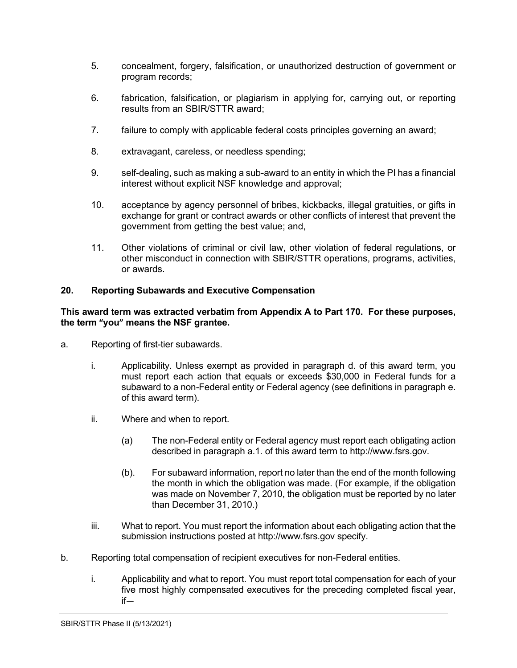- 5. concealment, forgery, falsification, or unauthorized destruction of government or program records;
- 6. fabrication, falsification, or plagiarism in applying for, carrying out, or reporting results from an SBIR/STTR award;
- 7. failure to comply with applicable federal costs principles governing an award;
- 8. extravagant, careless, or needless spending;
- 9. self-dealing, such as making a sub-award to an entity in which the PI has a financial interest without explicit NSF knowledge and approval;
- 10. acceptance by agency personnel of bribes, kickbacks, illegal gratuities, or gifts in exchange for grant or contract awards or other conflicts of interest that prevent the government from getting the best value; and,
- 11. Other violations of criminal or civil law, other violation of federal regulations, or other misconduct in connection with SBIR/STTR operations, programs, activities, or awards.

#### <span id="page-13-0"></span>**20. Reporting Subawards and Executive Compensation**

#### **This award term was extracted verbatim from Appendix A to Part 170. For these purposes, the term "you" means the NSF grantee.**

- a. Reporting of first-tier subawards.
	- i. Applicability. Unless exempt as provided in paragraph d. of this award term, you must report each action that equals or exceeds \$30,000 in Federal funds for a subaward to a non-Federal entity or Federal agency (see definitions in paragraph e. of this award term).
	- ii. Where and when to report.
		- (a) The non-Federal entity or Federal agency must report each obligating action described in paragraph a.1. of this award term to http://www.fsrs.gov.
		- (b). For subaward information, report no later than the end of the month following the month in which the obligation was made. (For example, if the obligation was made on November 7, 2010, the obligation must be reported by no later than December 31, 2010.)
	- iii. What to report. You must report the information about each obligating action that the submission instructions posted at http://www.fsrs.gov specify.
- b. Reporting total compensation of recipient executives for non-Federal entities.
	- i. Applicability and what to report. You must report total compensation for each of your five most highly compensated executives for the preceding completed fiscal year, if—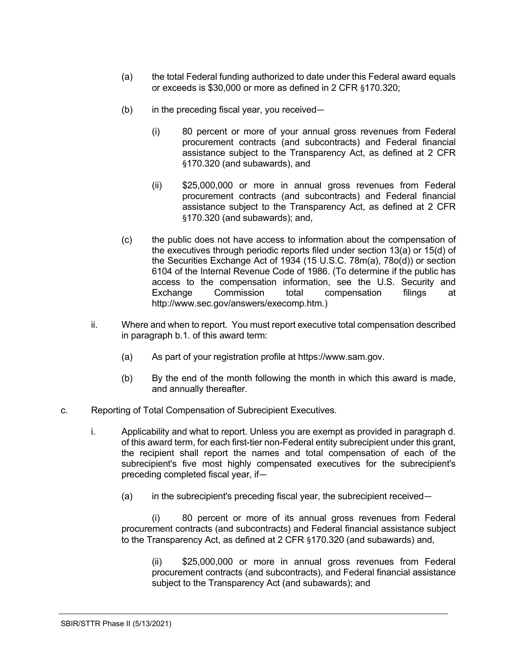- (a) the total Federal funding authorized to date under this Federal award equals or exceeds is \$30,000 or more as defined in 2 CFR §170.320;
- $(b)$  in the preceding fiscal year, you received—
	- (i) 80 percent or more of your annual gross revenues from Federal procurement contracts (and subcontracts) and Federal financial assistance subject to the Transparency Act, as defined at 2 CFR §170.320 (and subawards), and
	- (ii) \$25,000,000 or more in annual gross revenues from Federal procurement contracts (and subcontracts) and Federal financial assistance subject to the Transparency Act, as defined at 2 CFR §170.320 (and subawards); and,
- (c) the public does not have access to information about the compensation of the executives through periodic reports filed under section 13(a) or 15(d) of the Securities Exchange Act of 1934 (15 U.S.C. 78m(a), 78o(d)) or section 6104 of the Internal Revenue Code of 1986. (To determine if the public has access to the compensation information, see the U.S. Security and Exchange Commission total compensation filings at http://www.sec.gov/answers/execomp.htm.)
- ii. Where and when to report. You must report executive total compensation described in paragraph b.1. of this award term:
	- (a) As part of your registration profile at https://www.sam.gov.
	- (b) By the end of the month following the month in which this award is made, and annually thereafter.
- c. Reporting of Total Compensation of Subrecipient Executives.
	- i. Applicability and what to report. Unless you are exempt as provided in paragraph d. of this award term, for each first-tier non-Federal entity subrecipient under this grant, the recipient shall report the names and total compensation of each of the subrecipient's five most highly compensated executives for the subrecipient's preceding completed fiscal year, if—
		- (a) in the subrecipient's preceding fiscal year, the subrecipient received—

(i) 80 percent or more of its annual gross revenues from Federal procurement contracts (and subcontracts) and Federal financial assistance subject to the Transparency Act, as defined at 2 CFR §170.320 (and subawards) and,

(ii) \$25,000,000 or more in annual gross revenues from Federal procurement contracts (and subcontracts), and Federal financial assistance subject to the Transparency Act (and subawards); and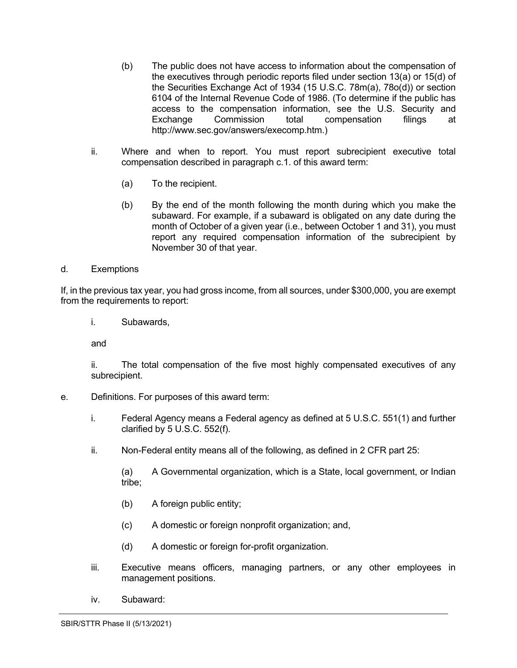- (b) The public does not have access to information about the compensation of the executives through periodic reports filed under section 13(a) or 15(d) of the Securities Exchange Act of 1934 (15 U.S.C. 78m(a), 78o(d)) or section 6104 of the Internal Revenue Code of 1986. (To determine if the public has access to the compensation information, see the U.S. Security and Exchange Commission total compensation filings at http://www.sec.gov/answers/execomp.htm.)
- ii. Where and when to report. You must report subrecipient executive total compensation described in paragraph c.1. of this award term:
	- (a) To the recipient.
	- (b) By the end of the month following the month during which you make the subaward. For example, if a subaward is obligated on any date during the month of October of a given year (i.e., between October 1 and 31), you must report any required compensation information of the subrecipient by November 30 of that year.
- d. Exemptions

If, in the previous tax year, you had gross income, from all sources, under \$300,000, you are exempt from the requirements to report:

i. Subawards,

and

ii. The total compensation of the five most highly compensated executives of any subrecipient.

- e. Definitions. For purposes of this award term:
	- i. Federal Agency means a Federal agency as defined at 5 U.S.C. 551(1) and further clarified by 5 U.S.C. 552(f).
	- ii. Non-Federal entity means all of the following, as defined in 2 CFR part 25:

(a) A Governmental organization, which is a State, local government, or Indian tribe;

- (b) A foreign public entity;
- (c) A domestic or foreign nonprofit organization; and,
- (d) A domestic or foreign for-profit organization.
- iii. Executive means officers, managing partners, or any other employees in management positions.
- iv. Subaward: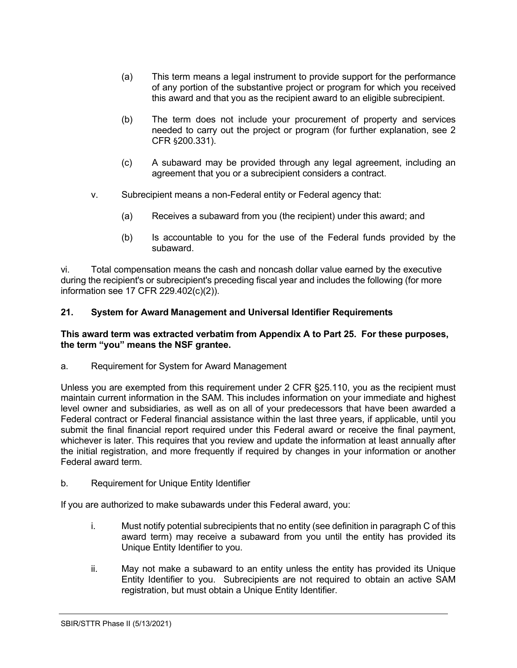- (a) This term means a legal instrument to provide support for the performance of any portion of the substantive project or program for which you received this award and that you as the recipient award to an eligible subrecipient.
- (b) The term does not include your procurement of property and services needed to carry out the project or program (for further explanation, see 2 CFR §200.331).
- (c) A subaward may be provided through any legal agreement, including an agreement that you or a subrecipient considers a contract.
- v. Subrecipient means a non-Federal entity or Federal agency that:
	- (a) Receives a subaward from you (the recipient) under this award; and
	- (b) Is accountable to you for the use of the Federal funds provided by the subaward.

vi. Total compensation means the cash and noncash dollar value earned by the executive during the recipient's or subrecipient's preceding fiscal year and includes the following (for more information see 17 CFR 229.402(c)(2)).

#### <span id="page-16-0"></span>**21. System for Award Management and Universal Identifier Requirements**

#### **This award term was extracted verbatim from Appendix A to Part 25. For these purposes, the term "you" means the NSF grantee.**

a. Requirement for System for Award Management

Unless you are exempted from this requirement under 2 CFR §25.110, you as the recipient must maintain current information in the SAM. This includes information on your immediate and highest level owner and subsidiaries, as well as on all of your predecessors that have been awarded a Federal contract or Federal financial assistance within the last three years, if applicable, until you submit the final financial report required under this Federal award or receive the final payment, whichever is later. This requires that you review and update the information at least annually after the initial registration, and more frequently if required by changes in your information or another Federal award term.

b. Requirement for Unique Entity Identifier

If you are authorized to make subawards under this Federal award, you:

- i. Must notify potential subrecipients that no entity (see definition in paragraph C of this award term) may receive a subaward from you until the entity has provided its Unique Entity Identifier to you.
- ii. May not make a subaward to an entity unless the entity has provided its Unique Entity Identifier to you. Subrecipients are not required to obtain an active SAM registration, but must obtain a Unique Entity Identifier.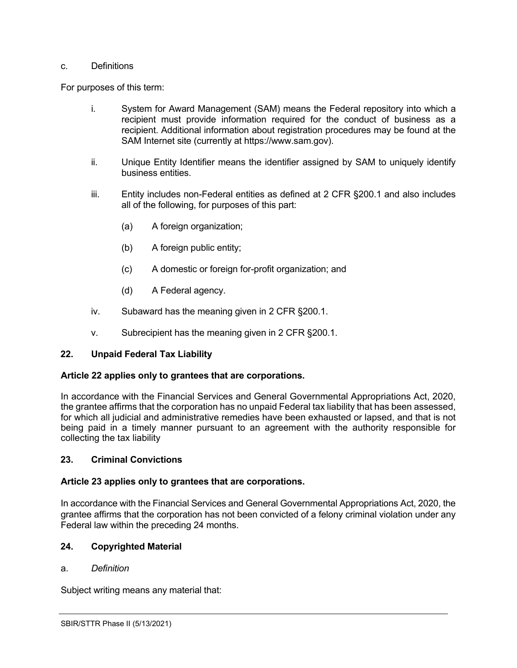#### c. Definitions

For purposes of this term:

- i. System for Award Management (SAM) means the Federal repository into which a recipient must provide information required for the conduct of business as a recipient. Additional information about registration procedures may be found at the SAM Internet site (currently at https://www.sam.gov).
- ii. Unique Entity Identifier means the identifier assigned by SAM to uniquely identify business entities.
- iii. Entity includes non-Federal entities as defined at 2 CFR §200.1 and also includes all of the following, for purposes of this part:
	- (a) A foreign organization;
	- (b) A foreign public entity;
	- (c) A domestic or foreign for-profit organization; and
	- (d) A Federal agency.
- iv. Subaward has the meaning given in 2 CFR §200.1.
- v. Subrecipient has the meaning given in 2 CFR §200.1.

#### <span id="page-17-0"></span>**22. Unpaid Federal Tax Liability**

#### **Article 22 applies only to grantees that are corporations.**

In accordance with the Financial Services and General Governmental Appropriations Act, 2020, the grantee affirms that the corporation has no unpaid Federal tax liability that has been assessed, for which all judicial and administrative remedies have been exhausted or lapsed, and that is not being paid in a timely manner pursuant to an agreement with the authority responsible for collecting the tax liability

#### <span id="page-17-1"></span>**23. Criminal Convictions**

#### **Article 23 applies only to grantees that are corporations.**

In accordance with the Financial Services and General Governmental Appropriations Act, 2020, the grantee affirms that the corporation has not been convicted of a felony criminal violation under any Federal law within the preceding 24 months.

#### <span id="page-17-2"></span>**24. Copyrighted Material**

#### a. *Definition*

Subject writing means any material that: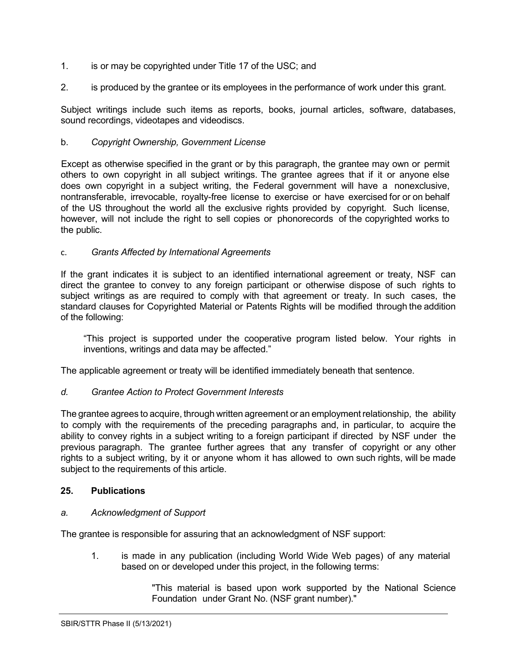- 1. is or may be copyrighted under Title 17 of the [USC;](http://www.access.gpo.gov/uscode/title17/title17.html) and
- 2. is produced by the grantee or its employees in the performance of work under this grant.

Subject writings include such items as reports, books, journal articles, software, databases, sound recordings, videotapes and videodiscs.

#### b. *Copyright Ownership, Government License*

Except as otherwise specified in the grant or by this paragraph, the grantee may own or permit others to own copyright in all subject writings. The grantee agrees that if it or anyone else does own copyright in a subject writing, the Federal government will have a nonexclusive, nontransferable, irrevocable, royalty-free license to exercise or have exercised for or on behalf of the US throughout the world all the exclusive rights provided by copyright. Such license, however, will not include the right to sell copies or phonorecords of the copyrighted works to the public.

#### c. *Grants Affected by International Agreements*

If the grant indicates it is subject to an identified international agreement or treaty, NSF can direct the grantee to convey to any foreign participant or otherwise dispose of such rights to subject writings as are required to comply with that agreement or treaty. In such cases, the standard clauses for Copyrighted Material or Patents Rights will be modified through the addition of the following:

"This project is supported under the cooperative program listed below. Your rights in inventions, writings and data may be affected."

The applicable agreement or treaty will be identified immediately beneath that sentence.

#### *d. Grantee Action to Protect Government Interests*

The grantee agrees to acquire, through written agreement or an employment relationship, the ability to comply with the requirements of the preceding paragraphs and, in particular, to acquire the ability to convey rights in a subject writing to a foreign participant if directed by NSF under the previous paragraph. The grantee further agrees that any transfer of copyright or any other rights to a subject writing, by it or anyone whom it has allowed to own such rights, will be made subject to the requirements of this article.

#### <span id="page-18-0"></span>**25. Publications**

#### *a. Acknowledgment of Support*

The grantee is responsible for assuring that an acknowledgment of NSF support:

1. is made in any publication (including World Wide Web pages) of any material based on or developed under this project, in the following terms:

> "This material is based upon work supported by the National Science Foundation under Grant No. (NSF grant number)."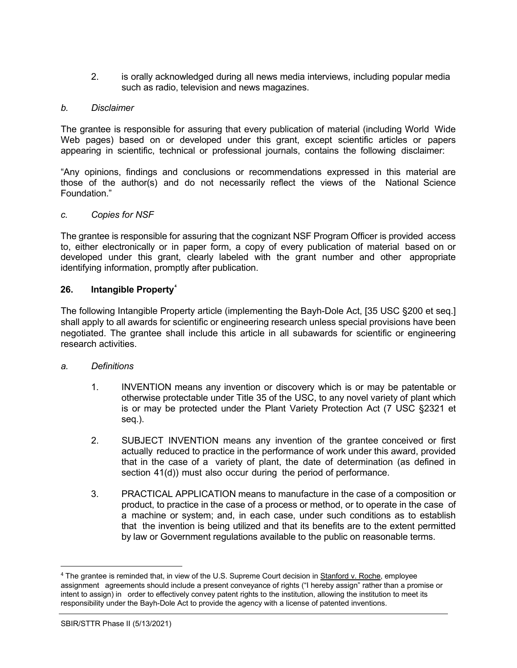2. is orally acknowledged during all news media interviews, including popular media such as radio, television and news magazines.

#### *b. Disclaimer*

The grantee is responsible for assuring that every publication of material (including World Wide Web pages) based on or developed under this grant, except scientific articles or papers appearing in scientific, technical or professional journals, contains the following disclaimer:

"Any opinions, findings and conclusions or recommendations expressed in this material are those of the author(s) and do not necessarily reflect the views of the National Science Foundation."

#### *c. Copies for NSF*

The grantee is responsible for assuring that the cognizant NSF Program Officer is provided access to, either electronically or in paper form, a copy of every publication of material based on or developed under this grant, clearly labeled with the grant number and other appropriate identifying information, promptly after publication.

#### <span id="page-19-0"></span>**26. Intangible Property[4](#page-19-1)**

The following Intangible Property article (implementing the Bayh-Dole Act, [35 USC §200 et seq.] shall apply to all awards for scientific or engineering research unless special provisions have been negotiated. The grantee shall include this article in all subawards for scientific or engineering research activities.

#### *a. Definitions*

- 1. INVENTION means any invention or discovery which is or may be patentable or otherwise protectable under Title 35 of the USC, to any novel variety of plant which is or may be protected under the Plant Variety Protection Act [\(7 USC §2321](http://www.access.gpo.gov/uscode/title7/chapter57_.html) et [seq.\)](http://www.access.gpo.gov/uscode/title7/chapter57_.html).
- 2. SUBJECT INVENTION means any invention of the grantee conceived or first actually reduced to practice in the performance of work under this award, provided that in the case of a variety of plant, the date of determination (as defined in section 41(d)) must also occur during the period of performance.
- 3. PRACTICAL APPLICATION means to manufacture in the case of a composition or product, to practice in the case of a process or method, or to operate in the case of a machine or system; and, in each case, under such conditions as to establish that the invention is being utilized and that its benefits are to the extent permitted by law or Government regulations available to the public on reasonable terms.

<span id="page-19-1"></span><sup>4</sup> The grantee is reminded that, in view of the U.S. Supreme Court decision in Stanford v. Roche, employee assignment agreements should include a present conveyance of rights ("I hereby assign" rather than a promise or intent to assign) in order to effectively convey patent rights to the institution, allowing the institution to meet its responsibility under the Bayh-Dole Act to provide the agency with a license of patented inventions.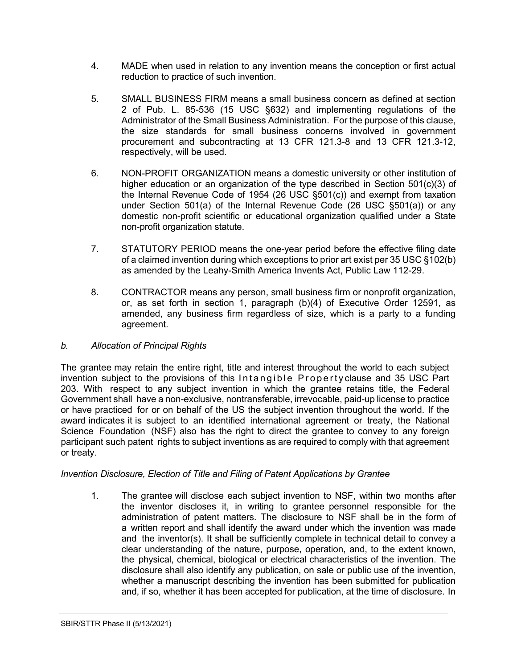- 4. MADE when used in relation to any invention means the conception or first actual reduction to practice of such invention.
- 5. SMALL BUSINESS FIRM means a small business concern as defined at section 2 of Pub. L. 85-536 (15 USC §632) and implementing regulations of the Administrator of the Small Business Administration. For the purpose of this clause, the size standards for small business concerns involved in government procurement and subcontracting at 13 CFR 121.3-8 and 13 CFR 121.3-12, respectively, will be used.
- 6. NON-PROFIT ORGANIZATION means a domestic university or other institution of higher education or an organization of the type described in Section 501(c)(3) of the Internal Revenue Code of 1954 (26 USC [§501\(c\)\)](http://frwebgate.access.gpo.gov/cgi-bin/getdoc.cgi?dbname=browse_usc&amp%3Bdocid=Cite%3A%2B26USC501) and exempt from taxation under Section 501(a) of the Internal Revenue Code (26 USC [§501\(a\)\)](http://frwebgate.access.gpo.gov/cgi-bin/getdoc.cgi?dbname=browse_usc&amp%3Bdocid=Cite%3A%2B26USC501) or any domestic non-profit scientific or educational organization qualified under a State non-profit organization statute.
- 7. STATUTORY PERIOD means the one-year period before the effective filing date of a claimed invention during which exceptions to prior art exist per 35 USC §102(b) as amended by the Leahy-Smith America Invents Act, Public Law 112-29.
- 8. CONTRACTOR means any person, small business firm or nonprofit organization, or, as set forth in section 1, paragraph (b)(4) of Executive Order 12591, as amended, any business firm regardless of size, which is a party to a funding agreement.

## *b. Allocation of Principal Rights*

The grantee may retain the entire right, title and interest throughout the world to each subject invention subject to the provisions of this Intangible Property clause and 35 [USC](http://frwebgate.access.gpo.gov/cgi-bin/getdoc.cgi?dbname=browse_usc&docid=Cite%3A%2B35USC203) Part [203.](http://frwebgate.access.gpo.gov/cgi-bin/getdoc.cgi?dbname=browse_usc&docid=Cite%3A%2B35USC203) With respect to any subject invention in which the grantee retains title, the Federal Government shall have a non-exclusive, nontransferable, irrevocable, paid-up license to practice or have practiced for or on behalf of the US the subject invention throughout the world. If the award indicates it is subject to an identified international agreement or treaty, the National Science Foundation (NSF) also has the right to direct the grantee to convey to any foreign participant such patent rights to subject inventions as are required to comply with that agreement or treaty.

## *Invention Disclosure, Election of Title and Filing of Patent Applications by Grantee*

1. The grantee will disclose each subject invention to NSF, within two months after the inventor discloses it, in writing to grantee personnel responsible for the administration of patent matters. The disclosure to NSF shall be in the form of a written report and shall identify the award under which the invention was made and the inventor(s). It shall be sufficiently complete in technical detail to convey a clear understanding of the nature, purpose, operation, and, to the extent known, the physical, chemical, biological or electrical characteristics of the invention. The disclosure shall also identify any publication, on sale or public use of the invention, whether a manuscript describing the invention has been submitted for publication and, if so, whether it has been accepted for publication, at the time of disclosure. In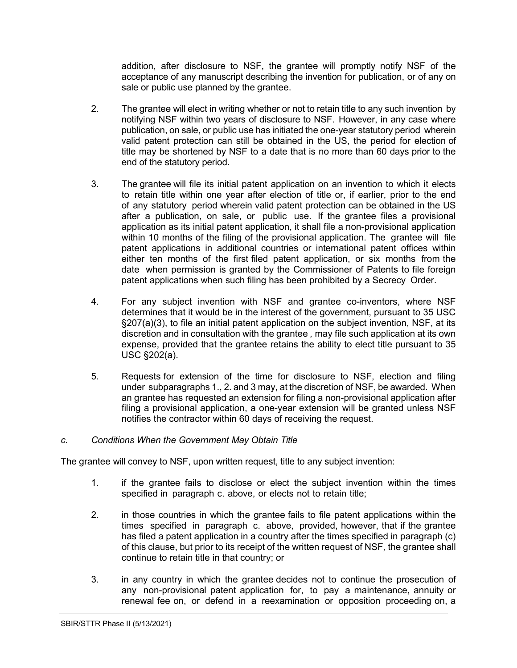addition, after disclosure to NSF, the grantee will promptly notify NSF of the acceptance of any manuscript describing the invention for publication, or of any on sale or public use planned by the grantee.

- 2. The grantee will elect in writing whether or not to retain title to any such invention by notifying NSF within two years of disclosure to NSF. However, in any case where publication, on sale, or public use has initiated the one-year statutory period wherein valid patent protection can still be obtained in the US, the period for election of title may be shortened by NSF to a date that is no more than 60 days prior to the end of the statutory period.
- 3. The grantee will file its initial patent application on an invention to which it elects to retain title within one year after election of title or, if earlier, prior to the end of any statutory period wherein valid patent protection can be obtained in the US after a publication, on sale, or public use. If the grantee files a provisional application as its initial patent application, it shall file a non-provisional application within 10 months of the filing of the provisional application. The grantee will file patent applications in additional countries or international patent offices within either ten months of the first filed patent application, or six months from the date when permission is granted by the Commissioner of Patents to file foreign patent applications when such filing has been prohibited by a Secrecy Order.
- 4. For any subject invention with NSF and grantee co-inventors, where NSF determines that it would be in the interest of the government, pursuant to 35 USC §207(a)(3), to file an initial patent application on the subject invention, NSF, at its discretion and in consultation with the grantee *,* may file such application at its own expense, provided that the grantee retains the ability to elect title pursuant to 35 USC §202(a).
- 5. Requests for extension of the time for disclosure to NSF, election and filing under subparagraphs 1., 2. and 3 may, at the discretion of NSF, be awarded. When an grantee has requested an extension for filing a non-provisional application after filing a provisional application, a one-year extension will be granted unless NSF notifies the contractor within 60 days of receiving the request.

#### *c. Conditions When the Government May Obtain Title*

The grantee will convey to NSF, upon written request, title to any subject invention:

- 1. if the grantee fails to disclose or elect the subject invention within the times specified in paragraph c. above, or elects not to retain title;
- 2. in those countries in which the grantee fails to file patent applications within the times specified in paragraph c. above, provided, however, that if the grantee has filed a patent application in a country after the times specified in paragraph (c) of this clause, but prior to its receipt of the written request of NSF*,* the grantee shall continue to retain title in that country; or
- 3. in any country in which the grantee decides not to continue the prosecution of any non-provisional patent application for, to pay a maintenance, annuity or renewal fee on, or defend in a reexamination or opposition proceeding on, a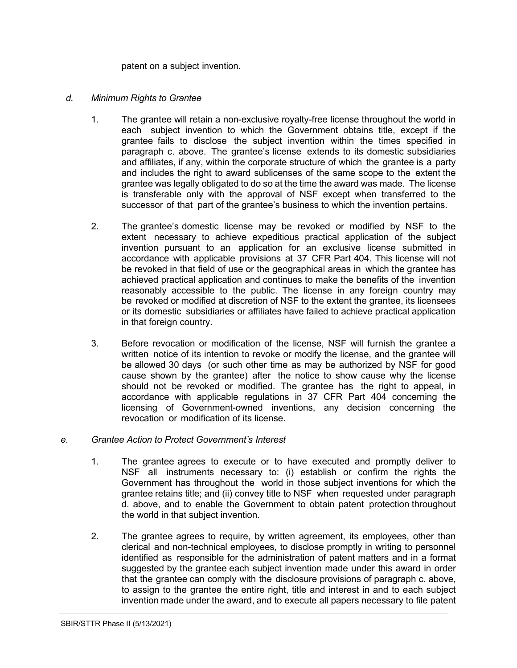patent on a subject invention.

#### *d. Minimum Rights to Grantee*

- 1. The grantee will retain a non-exclusive royalty-free license throughout the world in each subject invention to which the Government obtains title, except if the grantee fails to disclose the subject invention within the times specified in paragraph c. above. The grantee's license extends to its domestic subsidiaries and affiliates, if any, within the corporate structure of which the grantee is a party and includes the right to award sublicenses of the same scope to the extent the grantee was legally obligated to do so at the time the award was made. The license is transferable only with the approval of NSF except when transferred to the successor of that part of the grantee's business to which the invention pertains.
- 2. The grantee's domestic license may be revoked or modified by NSF to the extent necessary to achieve expeditious practical application of the subject invention pursuant to an application for an exclusive license submitted in accordance with applicable provisions at [37](http://www.access.gpo.gov/nara/cfr/waisidx_06/37cfr404_06.html) [CFR](http://www.access.gpo.gov/nara/cfr/waisidx_06/37cfr404_06.html) Part 404. This license will not be revoked in that field of use or the geographical areas in which the grantee has achieved practical application and continues to make the benefits of the invention reasonably accessible to the public. The license in any foreign country may be revoked or modified at discretion of NSF to the extent the grantee, its licensees or its domestic subsidiaries or affiliates have failed to achieve practical application in that foreign country.
- 3. Before revocation or modification of the license, NSF will furnish the grantee a written notice of its intention to revoke or modify the license, and the grantee will be allowed 30 days (or such other time as may be authorized by NSF for good cause shown by the grantee) after the notice to show cause why the license should not be revoked or modified. The grantee has the right to appeal, in accordance with applicable regulations in 37 [CFR](http://www.access.gpo.gov/nara/cfr/waisidx_06/37cfr404_06.html) Part 404 concerning the licensing of Government-owned inventions, any decision concerning the revocation or modification of its license.

#### *e. Grantee Action to Protect Government's Interest*

- 1. The grantee agrees to execute or to have executed and promptly deliver to NSF all instruments necessary to: (i) establish or confirm the rights the Government has throughout the world in those subject inventions for which the grantee retains title; and (ii) convey title to NSF when requested under paragraph d. above, and to enable the Government to obtain patent protection throughout the world in that subject invention.
- 2. The grantee agrees to require, by written agreement, its employees, other than clerical and non-technical employees, to disclose promptly in writing to personnel identified as responsible for the administration of patent matters and in a format suggested by the grantee each subject invention made under this award in order that the grantee can comply with the disclosure provisions of paragraph c. above, to assign to the grantee the entire right, title and interest in and to each subject invention made under the award, and to execute all papers necessary to file patent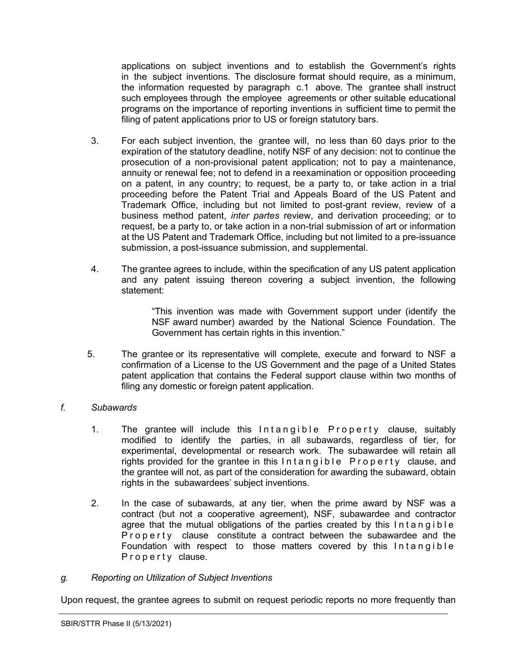applications on subject inventions and to establish the Government's rights in the subject inventions. The disclosure format should require, as a minimum, the information requested by paragraph c.1 above. The grantee shall instruct such employees through the employee agreements or other suitable educational programs on the importance of reporting inventions in sufficient time to permit the filing of patent applications prior to US or foreign statutory bars.

- 3. For each subject invention, the grantee will, no less than 60 days prior to the expiration of the statutory deadline, notify NSF of any decision: not to continue the prosecution of a non-provisional patent application; not to pay a maintenance, annuity or renewal fee; not to defend in a reexamination or opposition proceeding on a patent, in any country; to request, be a party to, or take action in a trial proceeding before the Patent Trial and Appeals Board of the US Patent and Trademark Office, including but not limited to post-grant review, review of a business method patent, *inter partes* review, and derivation proceeding; or to request, be a party to, or take action in a non-trial submission of art or information at the US Patent and Trademark Office, including but not limited to a pre-issuance submission, a post-issuance submission, and supplemental.
- 4. The grantee agrees to include, within the specification of any US patent application and any patent issuing thereon covering a subject invention, the following statement:

"This invention was made with Government support under (identify the NSF award number) awarded by the National Science Foundation. The Government has certain rights in this invention."

5. The grantee or its representative will complete, execute and forward to NSF a confirmation of a License to the US Government and the page of a United States patent application that contains the Federal support clause within two months of filing any domestic or foreign patent application.

## *f. Subawards*

- 1. The grantee will include this Intangible Property clause, suitably modified to identify the parties, in all subawards, regardless of tier, for experimental, developmental or research work. The subawardee will retain all rights provided for the grantee in this Intangible Property clause, and the grantee will not, as part of the consideration for awarding the subaward, obtain rights in the subawardees' subject inventions.
- 2. In the case of subawards, at any tier, when the prime award by NSF was a contract (but not a cooperative agreement), NSF, subawardee and contractor agree that the mutual obligations of the parties created by this Intangible Property clause constitute a contract between the subawardee and the Foundation with respect to those matters covered by this Intangible Property clause.

#### *g. Reporting on Utilization of Subject Inventions*

Upon request, the grantee agrees to submit on request periodic reports no more frequently than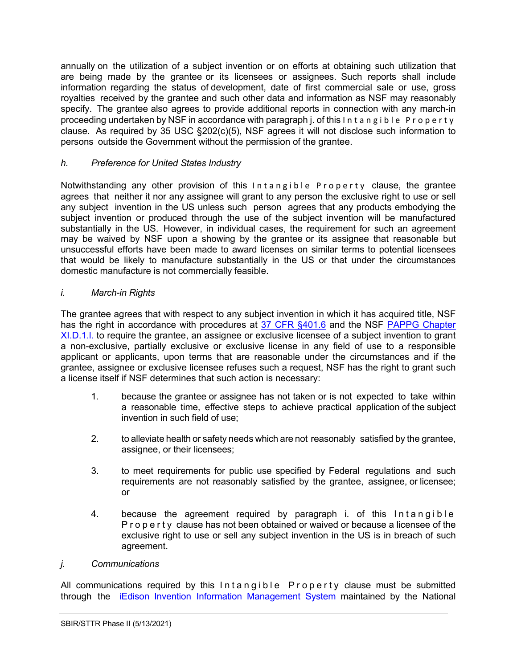annually on the utilization of a subject invention or on efforts at obtaining such utilization that are being made by the grantee or its licensees or assignees. Such reports shall include information regarding the status of development, date of first commercial sale or use, gross royalties received by the grantee and such other data and information as NSF may reasonably specify. The grantee also agrees to provide additional reports in connection with any march-in proceeding undertaken by NSF in accordance with paragraph j. of this Intangible Property clause. As required by 35 [USC §202\(c\)\(5\),](http://frwebgate.access.gpo.gov/cgi-bin/getdoc.cgi?dbname=browse_usc&docid=Cite%3A%2B35USC202) NSF agrees it will not disclose such information to persons outside the Government without the permission of the grantee.

# *h. Preference for United States Industry*

Notwithstanding any other provision of this Intangible Property clause, the grantee agrees that neither it nor any assignee will grant to any person the exclusive right to use or sell any subject invention in the US unless such person agrees that any products embodying the subject invention or produced through the use of the subject invention will be manufactured substantially in the US. However, in individual cases, the requirement for such an agreement may be waived by NSF upon a showing by the grantee or its assignee that reasonable but unsuccessful efforts have been made to award licenses on similar terms to potential licensees that would be likely to manufacture substantially in the US or that under the circumstances domestic manufacture is not commercially feasible.

## *i. March-in Rights*

The grantee agrees that with respect to any subject invention in which it has acquired title, NSF has the right in accordance with procedures at [37 CFR §401.6](http://www.access.gpo.gov/nara/cfr/waisidx_06/37cfr401_06.html) and the NSF PAPPG Chapter [XI.D.1.l.](https://www.nsf.gov/pubs/policydocs/pappg22_1/pappg_11.jsp#XID1) to require the grantee, an assignee or exclusive licensee of a subject invention to grant a non-exclusive, partially exclusive or exclusive license in any field of use to a responsible applicant or applicants, upon terms that are reasonable under the circumstances and if the grantee, assignee or exclusive licensee refuses such a request, NSF has the right to grant such a license itself if NSF determines that such action is necessary:

- 1. because the grantee or assignee has not taken or is not expected to take within a reasonable time, effective steps to achieve practical application of the subject invention in such field of use;
- 2. to alleviate health or safety needs which are not reasonably satisfied by the grantee, assignee, or their licensees;
- 3. to meet requirements for public use specified by Federal regulations and such requirements are not reasonably satisfied by the grantee, assignee, or licensee; or
- 4. because the agreement required by paragraph i. of this Intangible Property clause has not been obtained or waived or because a licensee of the exclusive right to use or sell any subject invention in the US is in breach of such agreement.

## *j. Communications*

All communications required by this Intangible Property clause must be submitted through the iEdison Invention Information [Management](https://public.era.nih.gov/iedison/public/login.do?TYPE=33554433&REALMOID=06-dc4d00e8-1464-45e1-937f-0525407c30fd&GUID&SMAUTHREASON=0&METHOD=GET&SMAGENTNAME=-SM-938PYmoLVb4VrDeXo04LZUDVDvc%2b3899ByInEAjuSUvWNIGfB2zRpWiCivYGCogG&TARGET=-SM-http%3a%2f%2fpublic%2eera%2enih%2egov%2fiedison) System maintained by the National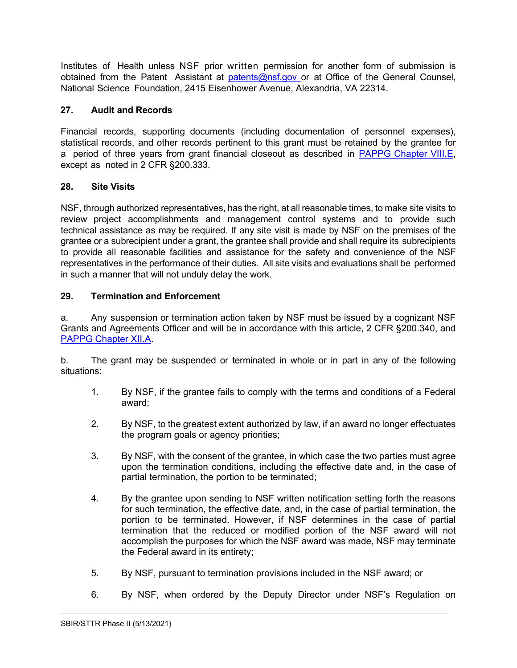Institutes of Health unless NSF prior written permission for another form of submission is obtained from the Patent Assistant at [patents@nsf.gov](mailto:patents@nsf.gov) or at Office of the General Counsel, National Science Foundation, 2415 Eisenhower Avenue, Alexandria, VA 22314.

# <span id="page-25-0"></span>**27. Audit and Records**

Financial records, supporting documents (including documentation of personnel expenses), statistical records, and other records pertinent to this grant must be retained by the grantee for a period of three years from grant financial closeout as described in [PAPPG Chapter VIII.E,](https://www.nsf.gov/pubs/policydocs/pappg22_1/pappg_8.jsp#VIIIE) except as noted in 2 CFR §200.333.

# <span id="page-25-1"></span>**28. Site Visits**

NSF, through authorized representatives, has the right, at all reasonable times, to make site visits to review project accomplishments and management control systems and to provide such technical assistance as may be required. If any site visit is made by NSF on the premises of the grantee or a subrecipient under a grant, the grantee shall provide and shall require its subrecipients to provide all reasonable facilities and assistance for the safety and convenience of the NSF representatives in the performance of their duties. All site visits and evaluations shall be performed in such a manner that will not unduly delay the work.

# <span id="page-25-2"></span>**29. Termination and Enforcement**

a. Any suspension or termination action taken by NSF must be issued by a cognizant NSF Grants and Agreements Officer and will be in accordance with this article, 2 CFR §200.340, and [PAPPG Chapter XII.A.](https://www.nsf.gov/pubs/policydocs/pappg22_1/pappg_12.jsp#XIIA)

b. The grant may be suspended or terminated in whole or in part in any of the following situations:

- 1. By NSF, if the grantee fails to comply with the terms and conditions of a Federal award;
- 2. By NSF, to the greatest extent authorized by law, if an award no longer effectuates the program goals or agency priorities;
- 3. By NSF, with the consent of the grantee, in which case the two parties must agree upon the termination conditions, including the effective date and, in the case of partial termination, the portion to be terminated;
- 4. By the grantee upon sending to NSF written notification setting forth the reasons for such termination, the effective date, and, in the case of partial termination, the portion to be terminated. However, if NSF determines in the case of partial termination that the reduced or modified portion of the NSF award will not accomplish the purposes for which the NSF award was made, NSF may terminate the Federal award in its entirety;
- 5. By NSF, pursuant to termination provisions included in the NSF award; or
- 6. By NSF, when ordered by the Deputy Director under NSF's Regulation on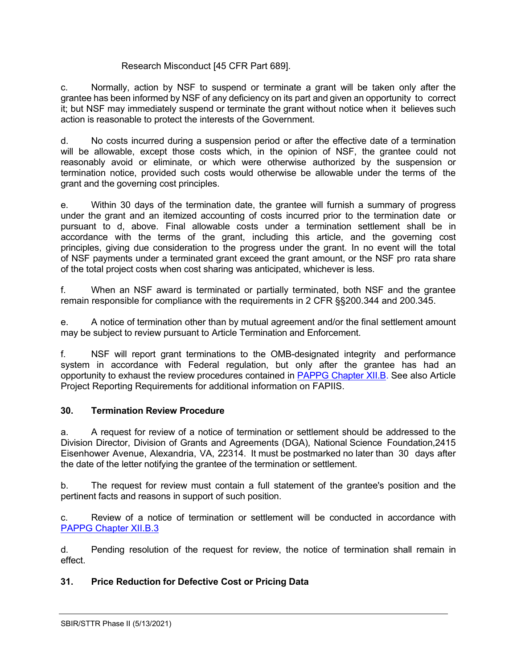#### Research Misconduct [45 CFR Part 689].

c. Normally, action by NSF to suspend or terminate a grant will be taken only after the grantee has been informed by NSF of any deficiency on its part and given an opportunity to correct it; but NSF may immediately suspend or terminate the grant without notice when it believes such action is reasonable to protect the interests of the Government.

d. No costs incurred during a suspension period or after the effective date of a termination will be allowable, except those costs which, in the opinion of NSF, the grantee could not reasonably avoid or eliminate, or which were otherwise authorized by the suspension or termination notice, provided such costs would otherwise be allowable under the terms of the grant and the governing cost principles.

e. Within 30 days of the termination date, the grantee will furnish a summary of progress under the grant and an itemized accounting of costs incurred prior to the termination date or pursuant to d, above. Final allowable costs under a termination settlement shall be in accordance with the terms of the grant, including this article, and the governing cost principles, giving due consideration to the progress under the grant. In no event will the total of NSF payments under a terminated grant exceed the grant amount, or the NSF pro rata share of the total project costs when cost sharing was anticipated, whichever is less.

f. When an NSF award is terminated or partially terminated, both NSF and the grantee remain responsible for compliance with the requirements in 2 CFR §§200.344 and 200.345.

e. A notice of termination other than by mutual agreement and/or the final settlement amount may be subject to review pursuant to Article Termination and Enforcement.

f. NSF will report grant terminations to the OMB-designated integrity and performance system in accordance with Federal regulation, but only after the grantee has had an opportunity to exhaust the review procedures contained in [PAPPG](https://www.nsf.gov/pubs/policydocs/pappg22_1/pappg_12.jsp#XIIB) Chapter XII.B. See also Article Project Reporting Requirements for additional information on FAPIIS.

## <span id="page-26-0"></span>**30. Termination Review Procedure**

a. A request for review of a notice of termination or settlement should be addressed to the Division Director, Division of Grants and Agreements (DGA), National Science Foundation,2415 Eisenhower Avenue, Alexandria, VA, 22314. It must be postmarked no later than 30 days after the date of the letter notifying the grantee of the termination or settlement.

b. The request for review must contain a full statement of the grantee's position and the pertinent facts and reasons in support of such position.

c. Review of a notice of termination or settlement will be conducted in accordance with [PAPPG Chapter XII.B.3](https://www.nsf.gov/pubs/policydocs/pappg22_1/pappg_12.jsp#XIIC3)

d. Pending resolution of the request for review, the notice of termination shall remain in effect.

## <span id="page-26-1"></span>**31. Price Reduction for Defective Cost or Pricing Data**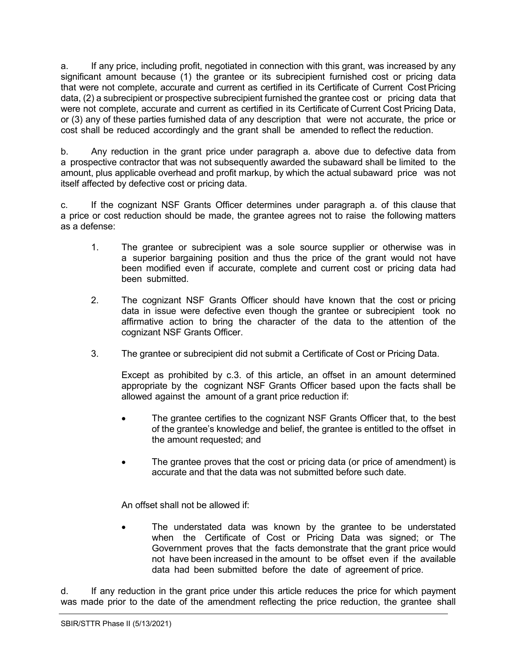a. If any price, including profit, negotiated in connection with this grant, was increased by any significant amount because (1) the grantee or its subrecipient furnished cost or pricing data that were not complete, accurate and current as certified in its Certificate of Current Cost Pricing data, (2) a subrecipient or prospective subrecipient furnished the grantee cost or pricing data that were not complete, accurate and current as certified in its Certificate of Current Cost Pricing Data, or (3) any of these parties furnished data of any description that were not accurate, the price or cost shall be reduced accordingly and the grant shall be amended to reflect the reduction.

b. Any reduction in the grant price under paragraph a. above due to defective data from a prospective contractor that was not subsequently awarded the subaward shall be limited to the amount, plus applicable overhead and profit markup, by which the actual subaward price was not itself affected by defective cost or pricing data.

c. If the cognizant NSF Grants Officer determines under paragraph a. of this clause that a price or cost reduction should be made, the grantee agrees not to raise the following matters as a defense:

- 1. The grantee or subrecipient was a sole source supplier or otherwise was in a superior bargaining position and thus the price of the grant would not have been modified even if accurate, complete and current cost or pricing data had been submitted.
- 2. The cognizant NSF Grants Officer should have known that the cost or pricing data in issue were defective even though the grantee or subrecipient took no affirmative action to bring the character of the data to the attention of the cognizant NSF Grants Officer.
- 3. The grantee or subrecipient did not submit a Certificate of Cost or Pricing Data.

Except as prohibited by c.3. of this article, an offset in an amount determined appropriate by the cognizant NSF Grants Officer based upon the facts shall be allowed against the amount of a grant price reduction if:

- The grantee certifies to the cognizant NSF Grants Officer that, to the best of the grantee's knowledge and belief, the grantee is entitled to the offset in the amount requested; and
- The grantee proves that the cost or pricing data (or price of amendment) is accurate and that the data was not submitted before such date.

An offset shall not be allowed if:

The understated data was known by the grantee to be understated when the Certificate of Cost or Pricing Data was signed; or The Government proves that the facts demonstrate that the grant price would not have been increased in the amount to be offset even if the available data had been submitted before the date of agreement of price.

d. If any reduction in the grant price under this article reduces the price for which payment was made prior to the date of the amendment reflecting the price reduction, the grantee shall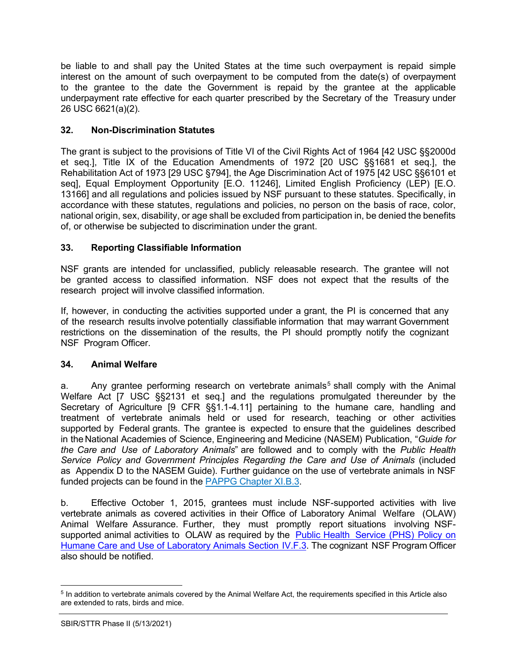be liable to and shall pay the United States at the time such overpayment is repaid simple interest on the amount of such overpayment to be computed from the date(s) of overpayment to the grantee to the date the Government is repaid by the grantee at the applicable underpayment rate effective for each quarter prescribed by the Secretary of the Treasury under 26 USC 6621(a)(2).

# <span id="page-28-0"></span>**32. Non-Discrimination Statutes**

The grant is subject to the provisions of Title VI of the Civil Rights Act of 1964 [42 USC §§2000d et seq.], Title IX of the Education Amendments of 1972 [20 USC §§1681 et seq.], the Rehabilitation Act of 1973 [29 USC §794], the Age Discrimination Act of 1975 [42 USC §§6101 et seq], Equal Employment Opportunity [E.O. 11246], Limited English Proficiency (LEP) [E.O. 13166] and all regulations and policies issued by NSF pursuant to these statutes. Specifically, in accordance with these statutes, regulations and policies, no person on the basis of race, color, national origin, sex, disability, or age shall be excluded from participation in, be denied the benefits of, or otherwise be subjected to discrimination under the grant.

# <span id="page-28-1"></span>**33. Reporting Classifiable Information**

NSF grants are intended for unclassified, publicly releasable research. The grantee will not be granted access to classified information. NSF does not expect that the results of the research project will involve classified information.

If, however, in conducting the activities supported under a grant, the PI is concerned that any of the research results involve potentially classifiable information that may warrant Government restrictions on the dissemination of the results, the PI should promptly notify the cognizant NSF Program Officer.

## <span id="page-28-2"></span>**34. Animal Welfare**

a. Any grantee performing research on vertebrate animals<sup>[5](#page-28-3)</sup> shall comply with the Animal Welfare Act [7 [USC §§2131](http://www.access.gpo.gov/uscode/title7/chapter54_.html) et seq.] and the regulations promulgated thereunder by the Secretary of Agriculture [9 [CFR §§1.1-4.11\]](http://www.access.gpo.gov/nara/cfr/waisidx_07/9cfrv1_07.html) pertaining to the humane care, handling and treatment of vertebrate animals held or used for research, teaching or other activities supported by Federal grants. The grantee is expected to ensure that the guidelines described in the National Academies of Science, Engineering and Medicine (NASEM) Publication, "*[Guide](http://www.nap.edu/readingroom/books/labrats/) for the [Care](http://www.nap.edu/readingroom/books/labrats/) and Use of [Laboratory](http://www.nap.edu/readingroom/books/labrats/) Animals*["](http://www.nap.edu/readingroom/books/labrats/) are followed and to comply with the *Public Health Service Policy and Government Principles Regarding the Care and Use of Animals* (included as Appendix D to the NASEM Guide). Further guidance on the use of vertebrate animals in NSF funded projects can be found in the PAPPG [Chapter](https://nsf.gov/pubs/policydocs/pappg22_1/pappg_11.jsp#XIB3) XI.B.3.

b. Effective October 1, 2015, grantees must include NSF-supported activities with live vertebrate animals as covered activities in their Office of Laboratory Animal Welfare (OLAW) Animal Welfare Assurance. Further, they must promptly report situations involving NSF-supported animal activities to OLAW as required by the Public Health [Service](http://grants.nih.gov/grants/olaw/references/phspol.htm) (PHS) Policy on Humane Care and Use of [Laboratory](http://grants.nih.gov/grants/olaw/references/phspol.htm) Animals Section IV.F.3. The cognizant NSF Program Officer also should be notified.

<span id="page-28-3"></span><sup>5</sup> In addition to vertebrate animals covered by the Animal Welfare Act, the requirements specified in this Article also are extended to rats, birds and mice.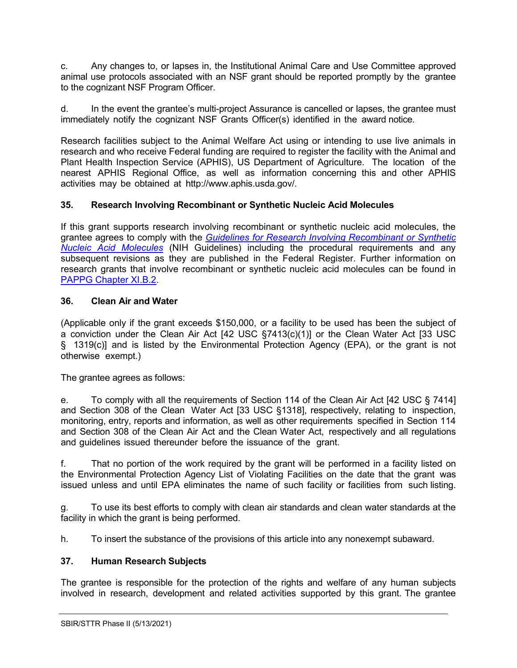c. Any changes to, or lapses in, the Institutional Animal Care and Use Committee approved animal use protocols associated with an NSF grant should be reported promptly by the grantee to the cognizant NSF Program Officer.

d. In the event the grantee's multi-project Assurance is cancelled or lapses, the grantee must immediately notify the cognizant NSF Grants Officer(s) identified in the award notice.

Research facilities subject to the Animal Welfare Act using or intending to use live animals in research and who receive Federal funding are required to register the facility with the Animal and Plant Health Inspection Service (APHIS), US Department of Agriculture. The location of the nearest APHIS Regional Office, as well as information concerning this and other APHIS activities may be obtained at [http://www.aphis.usda.gov/.](http://www.aphis.usda.gov/)

## <span id="page-29-0"></span>**35. Research Involving Recombinant or Synthetic Nucleic Acid Molecules**

If this grant supports research involving recombinant or synthetic nucleic acid molecules, the grantee agrees to comply with the *[Guidelines for Research Involving Recombinant or Synthetic](http://osp.od.nih.gov/office-biotechnology-activities/biosafety/nih-guidelines)  [Nucleic Acid Molecules](http://osp.od.nih.gov/office-biotechnology-activities/biosafety/nih-guidelines)* (NIH Guidelines) including the procedural requirements and any subsequent revisions as they are published in the Federal Register. Further information on research grants that involve recombinant or synthetic nucleic acid molecules can be found in [PAPPG Chapter XI.B.2.](https://www.nsf.gov/pubs/policydocs/pappg22_1/pappg_11.jsp#XIB2)

## <span id="page-29-1"></span>**36. Clean Air and Water**

(Applicable only if the grant exceeds \$150,000, or a facility to be used has been the subject of a conviction under the Clean Air Act [42 [USC §7413\(c\)\(1\)\]](http://frwebgate.access.gpo.gov/cgi-bin/getdoc.cgi?dbname=browse_usc&amp%3Bdocid=Cite%3A%2B42USC7413) or the Clean Water Act [33 [USC](http://frwebgate.access.gpo.gov/cgi-bin/getdoc.cgi?dbname=browse_usc&amp%3Bdocid=Cite%3A%2B33USC1319) [§](http://frwebgate.access.gpo.gov/cgi-bin/getdoc.cgi?dbname=browse_usc&amp%3Bdocid=Cite%3A%2B33USC1319) [1319\(c\)\]](http://frwebgate.access.gpo.gov/cgi-bin/getdoc.cgi?dbname=browse_usc&amp%3Bdocid=Cite%3A%2B33USC1319) and is listed by the Environmental Protection Agency (EPA), or the grant is not otherwise exempt.)

The grantee agrees as follows:

e. To comply with all the requirements of Section 114 of the Clean Air Act [42 [USC §](http://frwebgate.access.gpo.gov/cgi-bin/getdoc.cgi?dbname=browse_usc&amp%3Bdocid=Cite%3A%2B42USC7414) [7414\]](http://frwebgate.access.gpo.gov/cgi-bin/getdoc.cgi?dbname=browse_usc&amp%3Bdocid=Cite%3A%2B42USC7414) and Section 308 of the Clean Water Act [33 [USC §1318\],](http://frwebgate.access.gpo.gov/cgi-bin/getdoc.cgi?dbname=browse_usc&amp%3Bdocid=Cite%3A%2B33USC1318) respectively, relating to inspection, monitoring, entry, reports and information, as well as other requirements specified in Section 114 and Section 308 of the Clean Air Act and the Clean Water Act, respectively and all regulations and guidelines issued thereunder before the issuance of the grant.

f. That no portion of the work required by the grant will be performed in a facility listed on the Environmental Protection Agency List of Violating Facilities on the date that the grant was issued unless and until EPA eliminates the name of such facility or facilities from such listing.

g. To use its best efforts to comply with clean air standards and clean water standards at the facility in which the grant is being performed.

h. To insert the substance of the provisions of this article into any nonexempt subaward.

## <span id="page-29-2"></span>**37. Human Research Subjects**

The grantee is responsible for the protection of the rights and welfare of any human subjects involved in research, development and related activities supported by this grant. The grantee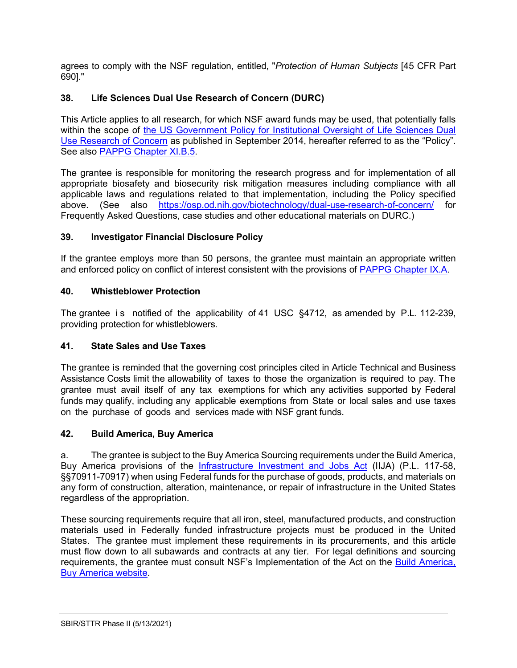agrees to comply with the NSF regulation, entitled, "*Protection of Human Subjects* [45 [CFR](http://www.access.gpo.gov/nara/cfr/waisidx_06/45cfr690_06.html) Part [690\]."](http://www.access.gpo.gov/nara/cfr/waisidx_06/45cfr690_06.html)

# <span id="page-30-0"></span>**38. Life Sciences Dual Use Research of Concern (DURC)**

This Article applies to all research, for which NSF award funds may be used, that potentially falls within the scope of the US Government Policy for Institutional Oversight of Life Sciences Dual [Use Research of Concern](http://www.phe.gov/s3/dualuse/Pages/default.aspx) as published in September 2014, hereafter referred to as the "Policy". See also [PAPPG Chapter XI.B.5.](https://www.nsf.gov/pubs/policydocs/pappg22_1/pappg_11.jsp#XIB5)

The grantee is responsible for monitoring the research progress and for implementation of all appropriate biosafety and biosecurity risk mitigation measures including compliance with all applicable laws and regulations related to that implementation, including the Policy specified above. (See also <https://osp.od.nih.gov/biotechnology/dual-use-research-of-concern/> for Frequently Asked Questions, case studies and other educational materials on DURC.)

#### <span id="page-30-1"></span>**39. Investigator Financial Disclosure Policy**

If the grantee employs more than 50 persons, the grantee must maintain an appropriate written and enforced policy on conflict of interest consistent with the provisions of [PAPPG Chapter IX.A.](https://www.nsf.gov/pubs/policydocs/pappg22_1/pappg_9.jsp#IXA)

#### <span id="page-30-2"></span>**40. Whistleblower Protection**

The grantee is notified of the applicability of 41 USC §4712, as amended by P.L. 112-239, providing protection for whistleblowers.

## <span id="page-30-3"></span>**41. State Sales and Use Taxes**

The grantee is reminded that the governing cost principles cited in Article Technical and Business Assistance Costs limit the allowability of taxes to those the organization is required to pay. The grantee must avail itself of any tax exemptions for which any activities supported by Federal funds may qualify, including any applicable exemptions from State or local sales and use taxes on the purchase of goods and services made with NSF grant funds.

#### <span id="page-30-4"></span>**42. Build America, Buy America**

a. The grantee is subject to the Buy America Sourcing requirements under the Build America, Buy America provisions of the [Infrastructure Investment and Jobs Act](https://www.congress.gov/bill/117th-congress/house-bill/3684/text) (IIJA) (P.L. 117-58, §§70911-70917) when using Federal funds for the purchase of goods, products, and materials on any form of construction, alteration, maintenance, or repair of infrastructure in the United States regardless of the appropriation.

These sourcing requirements require that all iron, steel, manufactured products, and construction materials used in Federally funded infrastructure projects must be produced in the United States. The grantee must implement these requirements in its procurements, and this article must flow down to all subawards and contracts at any tier. For legal definitions and sourcing requirements, the grantee must consult NSF's Implementation of the Act on the [Build America,](https://beta.nsf.gov/funding/build-america-buy-america)  [Buy America website.](https://beta.nsf.gov/funding/build-america-buy-america)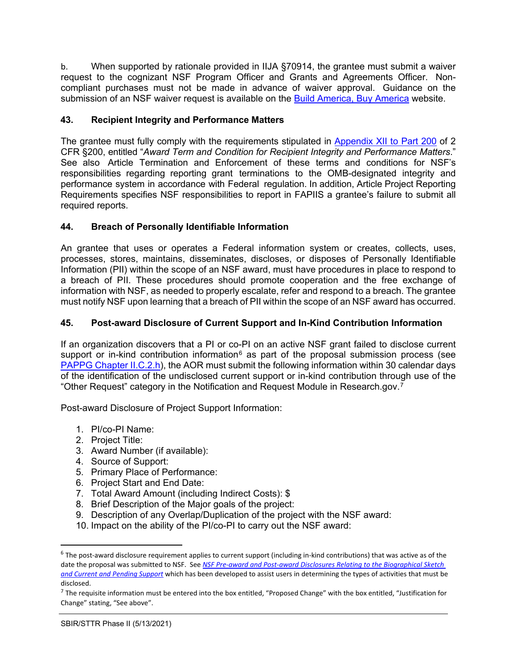b. When supported by rationale provided in IIJA §70914, the grantee must submit a waiver request to the cognizant NSF Program Officer and Grants and Agreements Officer. Noncompliant purchases must not be made in advance of waiver approval. Guidance on the submission of an NSF waiver request is available on the [Build America, Buy America](https://beta.nsf.gov/funding/build-america-buy-america) website.

## <span id="page-31-0"></span>**43. Recipient Integrity and Performance Matters**

The grantee must fully comply with the requirements stipulated in [Appendix](https://www.ecfr.gov/cgi-bin/text-idx?SID=704835d27377ef5213a51c149de40cab&node=2:1.1.2.2.1&rgn=div5) XII to Part 200 of 2 CFR §200, entitled "*Award Term and Condition for Recipient Integrity and Performance Matters*." See also Article Termination and Enforcement of these terms and conditions for NSF's responsibilities regarding reporting grant terminations to the OMB-designated integrity and performance system in accordance with Federal regulation. In addition, Article Project Reporting Requirements specifies NSF responsibilities to report in FAPIIS a grantee's failure to submit all required reports.

# <span id="page-31-1"></span>**44. Breach of Personally Identifiable Information**

An grantee that uses or operates a Federal information system or creates, collects, uses, processes, stores, maintains, disseminates, discloses, or disposes of Personally Identifiable Information (PII) within the scope of an NSF award, must have procedures in place to respond to a breach of PII. These procedures should promote cooperation and the free exchange of information with NSF, as needed to properly escalate, refer and respond to a breach. The grantee must notify NSF upon learning that a breach of PII within the scope of an NSF award has occurred.

# <span id="page-31-2"></span>**45. Post-award Disclosure of Current Support and In-Kind Contribution Information**

If an organization discovers that a PI or co-PI on an active NSF grant failed to disclose current support or in-kind contribution information<sup>[6](#page-31-3)</sup> as part of the proposal submission process (see [PAPPG Chapter II.C.2.h\)](https://www.nsf.gov/pubs/policydocs/pappg22_1/pappg_2.jsp#IIC2h), the AOR must submit the following information within 30 calendar days of the identification of the undisclosed current support or in-kind contribution through use of the "Other Request" category in the Notification and Request Module in Research.gov.[7](#page-31-4)

Post-award Disclosure of Project Support Information:

- 1. PI/co-PI Name:
- 2. Project Title:
- 3. Award Number (if available):
- 4. Source of Support:
- 5. Primary Place of Performance:
- 6. Project Start and End Date:
- 7. Total Award Amount (including Indirect Costs): \$
- 8. Brief Description of the Major goals of the project:
- 9. Description of any Overlap/Duplication of the project with the NSF award:
- 10. Impact on the ability of the PI/co-PI to carry out the NSF award:

<span id="page-31-3"></span> $6$  The post-award disclosure requirement applies to current support (including in-kind contributions) that was active as of the date the proposal was submitted to NSF. See *[NSF Pre-award and Post-award Disclosures Relating to the Biographical Sketch](https://www.nsf.gov/bfa/dias/policy/disclosures_table.jsp)  [and Current and Pending Support](https://www.nsf.gov/bfa/dias/policy/disclosures_table.jsp)* which has been developed to assist users in determining the types of activities that must be disclosed.

<span id="page-31-4"></span> $7$  The requisite information must be entered into the box entitled, "Proposed Change" with the box entitled, "Justification for Change" stating, "See above".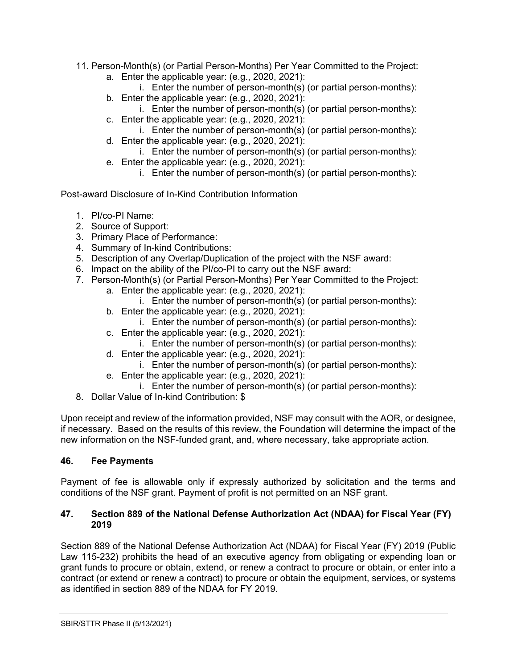- 11. Person-Month(s) (or Partial Person-Months) Per Year Committed to the Project:
	- a. Enter the applicable year: (e.g., 2020, 2021):
		- i. Enter the number of person-month(s) (or partial person-months):
	- b. Enter the applicable year: (e.g., 2020, 2021):
	- i. Enter the number of person-month(s) (or partial person-months): c. Enter the applicable year: (e.g., 2020, 2021):
		- i. Enter the number of person-month(s) (or partial person-months):
	- d. Enter the applicable year: (e.g., 2020, 2021):
	- i. Enter the number of person-month(s) (or partial person-months):
	- e. Enter the applicable year: (e.g., 2020, 2021):
		- i. Enter the number of person-month(s) (or partial person-months):

Post-award Disclosure of In-Kind Contribution Information

- 1. PI/co-PI Name:
- 2. Source of Support:
- 3. Primary Place of Performance:
- 4. Summary of In-kind Contributions:
- 5. Description of any Overlap/Duplication of the project with the NSF award:
- 6. Impact on the ability of the PI/co-PI to carry out the NSF award:
- 7. Person-Month(s) (or Partial Person-Months) Per Year Committed to the Project:
	- a. Enter the applicable year: (e.g., 2020, 2021):
		- i. Enter the number of person-month(s) (or partial person-months):
	- b. Enter the applicable year: (e.g., 2020, 2021):
		- i. Enter the number of person-month(s) (or partial person-months):
	- c. Enter the applicable year: (e.g., 2020, 2021):
		- i. Enter the number of person-month(s) (or partial person-months):
	- d. Enter the applicable year: (e.g., 2020, 2021):
		- i. Enter the number of person-month(s) (or partial person-months):
	- e. Enter the applicable year: (e.g., 2020, 2021):
	- i. Enter the number of person-month(s) (or partial person-months):
- 8. Dollar Value of In-kind Contribution: \$

Upon receipt and review of the information provided, NSF may consult with the AOR, or designee, if necessary. Based on the results of this review, the Foundation will determine the impact of the new information on the NSF-funded grant, and, where necessary, take appropriate action.

#### <span id="page-32-0"></span>**46. Fee Payments**

Payment of fee is allowable only if expressly authorized by solicitation and the terms and conditions of the NSF grant. Payment of profit is not permitted on an NSF grant.

#### <span id="page-32-1"></span>**47. Section 889 of the National Defense Authorization Act (NDAA) for Fiscal Year (FY) 2019**

Section 889 of the National Defense Authorization Act (NDAA) for Fiscal Year (FY) 2019 (Public Law 115-232) prohibits the head of an executive agency from obligating or expending loan or grant funds to procure or obtain, extend, or renew a contract to procure or obtain, or enter into a contract (or extend or renew a contract) to procure or obtain the equipment, services, or systems as identified in section 889 of the NDAA for FY 2019.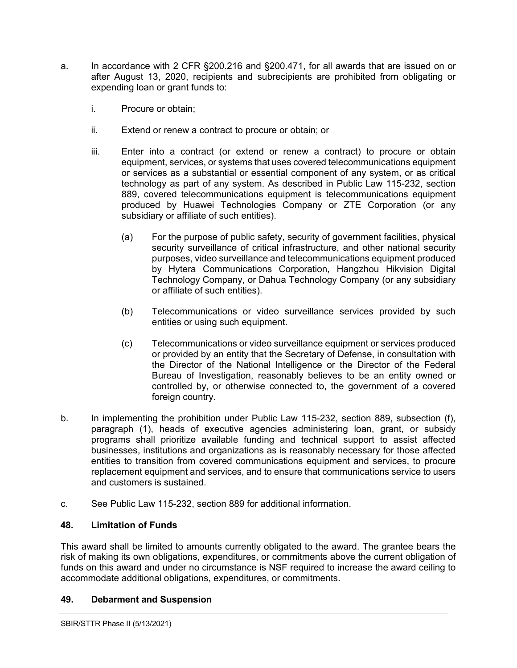- a. In accordance with 2 CFR §200.216 and §200.471, for all awards that are issued on or after August 13, 2020, recipients and subrecipients are prohibited from obligating or expending loan or grant funds to:
	- i. Procure or obtain;
	- ii. Extend or renew a contract to procure or obtain; or
	- iii. Enter into a contract (or extend or renew a contract) to procure or obtain equipment, services, or systems that uses covered telecommunications equipment or services as a substantial or essential component of any system, or as critical technology as part of any system. As described in Public Law 115-232, section 889, covered telecommunications equipment is telecommunications equipment produced by Huawei Technologies Company or ZTE Corporation (or any subsidiary or affiliate of such entities).
		- (a) For the purpose of public safety, security of government facilities, physical security surveillance of critical infrastructure, and other national security purposes, video surveillance and telecommunications equipment produced by Hytera Communications Corporation, Hangzhou Hikvision Digital Technology Company, or Dahua Technology Company (or any subsidiary or affiliate of such entities).
		- (b) Telecommunications or video surveillance services provided by such entities or using such equipment.
		- (c) Telecommunications or video surveillance equipment or services produced or provided by an entity that the Secretary of Defense, in consultation with the Director of the National Intelligence or the Director of the Federal Bureau of Investigation, reasonably believes to be an entity owned or controlled by, or otherwise connected to, the government of a covered foreign country.
- b. In implementing the prohibition under Public Law 115-232, section 889, subsection (f), paragraph (1), heads of executive agencies administering loan, grant, or subsidy programs shall prioritize available funding and technical support to assist affected businesses, institutions and organizations as is reasonably necessary for those affected entities to transition from covered communications equipment and services, to procure replacement equipment and services, and to ensure that communications service to users and customers is sustained.
- c. See Public Law 115-232, section 889 for additional information.

## <span id="page-33-0"></span>**48. Limitation of Funds**

This award shall be limited to amounts currently obligated to the award. The grantee bears the risk of making its own obligations, expenditures, or commitments above the current obligation of funds on this award and under no circumstance is NSF required to increase the award ceiling to accommodate additional obligations, expenditures, or commitments.

## <span id="page-33-1"></span>**49. Debarment and Suspension**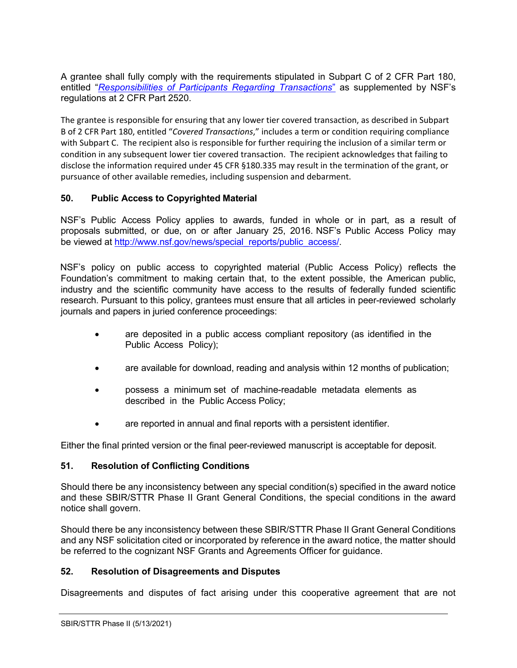A grantee shall fully comply with the requirements stipulated in [Subpart C of 2 CFR Part 180,](http://www.whitehouse.gov/omb/fedreg/2005/083105_debarment.pdf) entitled "*[Responsibilities of Participants Regarding Transactions](https://www.govinfo.gov/content/pkg/CFR-2011-title2-vol1/pdf/CFR-2011-title2-vol1-part2520.pdf)*" as supplemented by NSF's regulations at 2 CFR Part 2520.

The grantee is responsible for ensuring that any lower tier covered transaction, as described in [Subpart](http://www.whitehouse.gov/omb/fedreg/2005/083105_debarment.pdf)  [B of 2 CFR Part 180,](http://www.whitehouse.gov/omb/fedreg/2005/083105_debarment.pdf) entitled "*Covered Transactions*," includes a term or condition requiring compliance with Subpart C. The recipient also is responsible for further requiring the inclusion of a similar term or condition in any subsequent lower tier covered transaction. The recipient acknowledges that failing to disclose the information required under [45 CFR §180.335](http://www.nsf.gov/oig/2_CFR_PART180.pdf) may result in the termination of the grant, or pursuance of other available remedies, including suspension and debarment.

#### <span id="page-34-0"></span>**50. Public Access to Copyrighted Material**

NSF's Public Access Policy applies to awards, funded in whole or in part, as a result of proposals submitted, or due, on or after January 25, 2016. NSF's Public Access Policy may be viewed at [http://www.nsf.gov/news/special\\_reports/public\\_access/.](http://www.nsf.gov/news/special_reports/public_access/)

NSF's policy on public access to copyrighted material (Public Access Policy) reflects the Foundation's commitment to making certain that, to the extent possible, the American public, industry and the scientific community have access to the results of federally funded scientific research. Pursuant to this policy, grantees must ensure that all articles in peer-reviewed scholarly journals and papers in juried conference proceedings:

- are deposited in a public access compliant repository (as identified in the Public Access Policy);
- are available for download, reading and analysis within 12 months of publication;
- possess a minimum set of machine-readable metadata elements as described in the Public Access Policy;
- are reported in annual and final reports with a persistent identifier.

Either the final printed version or the final peer-reviewed manuscript is acceptable for deposit.

#### <span id="page-34-1"></span>**51. Resolution of Conflicting Conditions**

Should there be any inconsistency between any special condition(s) specified in the award notice and these SBIR/STTR Phase II Grant General Conditions, the special conditions in the award notice shall govern.

Should there be any inconsistency between these SBIR/STTR Phase II Grant General Conditions and any NSF solicitation cited or incorporated by reference in the award notice, the matter should be referred to the cognizant NSF Grants and Agreements Officer for guidance.

#### <span id="page-34-2"></span>**52. Resolution of Disagreements and Disputes**

Disagreements and disputes of fact arising under this cooperative agreement that are not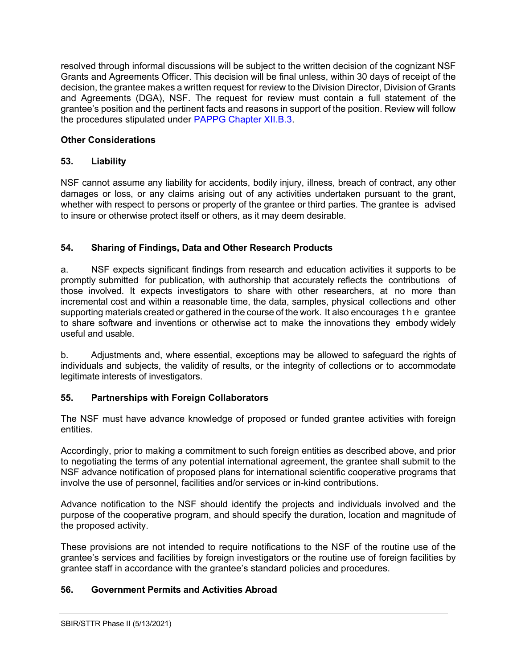resolved through informal discussions will be subject to the written decision of the cognizant NSF Grants and Agreements Officer. This decision will be final unless, within 30 days of receipt of the decision, the grantee makes a written request for review to the Division Director, Division of Grants and Agreements (DGA), NSF. The request for review must contain a full statement of the grantee's position and the pertinent facts and reasons in support of the position. Review will follow the procedures stipulated under [PAPPG Chapter XII.B.3.](https://www.nsf.gov/pubs/policydocs/pappg20_1/pappg_12.jsp#XIIB)

# **Other Considerations**

# <span id="page-35-0"></span>**53. Liability**

NSF cannot assume any liability for accidents, bodily injury, illness, breach of contract, any other damages or loss, or any claims arising out of any activities undertaken pursuant to the grant, whether with respect to persons or property of the grantee or third parties. The grantee is advised to insure or otherwise protect itself or others, as it may deem desirable.

# <span id="page-35-1"></span>**54. Sharing of Findings, Data and Other Research Products**

a. NSF expects significant findings from research and education activities it supports to be promptly submitted for publication, with authorship that accurately reflects the contributions of those involved. It expects investigators to share with other researchers, at no more than incremental cost and within a reasonable time, the data, samples, physical collections and other supporting materials created or gathered in the course of the work. It also encourages the grantee to share software and inventions or otherwise act to make the innovations they embody widely useful and usable.

b. Adjustments and, where essential, exceptions may be allowed to safeguard the rights of individuals and subjects, the validity of results, or the integrity of collections or to accommodate legitimate interests of investigators.

## <span id="page-35-2"></span>**55. Partnerships with Foreign Collaborators**

The NSF must have advance knowledge of proposed or funded grantee activities with foreign entities.

Accordingly, prior to making a commitment to such foreign entities as described above, and prior to negotiating the terms of any potential international agreement, the grantee shall submit to the NSF advance notification of proposed plans for international scientific cooperative programs that involve the use of personnel, facilities and/or services or in-kind contributions.

Advance notification to the NSF should identify the projects and individuals involved and the purpose of the cooperative program, and should specify the duration, location and magnitude of the proposed activity.

These provisions are not intended to require notifications to the NSF of the routine use of the grantee's services and facilities by foreign investigators or the routine use of foreign facilities by grantee staff in accordance with the grantee's standard policies and procedures.

## <span id="page-35-3"></span>**56. Government Permits and Activities Abroad**